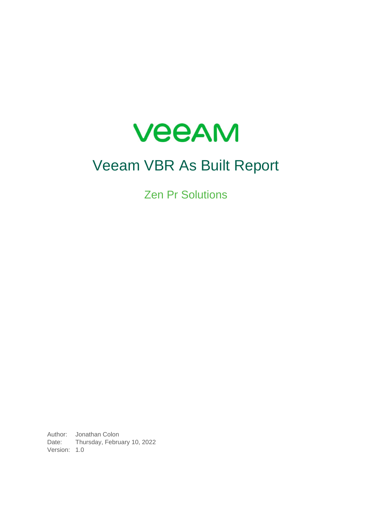

# Veeam VBR As Built Report

Zen Pr Solutions

Author: Jonathan Colon Date: Thursday, February 10, 2022 Version: 1.0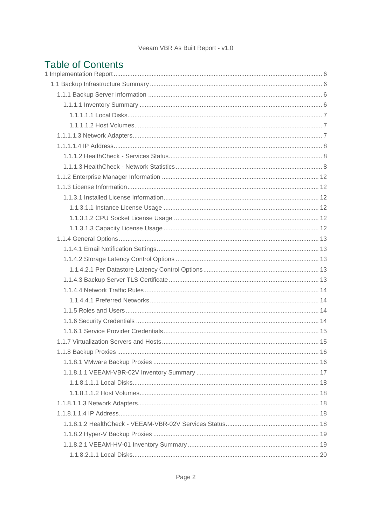## **Table of Contents**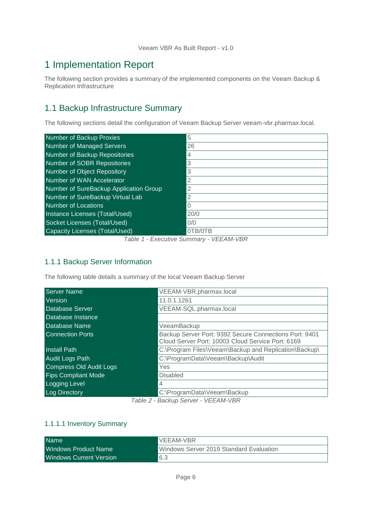## <span id="page-5-0"></span>1 Implementation Report

The following section provides a summary of the implemented components on the Veeam Backup & Replication Infrastructure

## <span id="page-5-1"></span>1.1 Backup Infrastructure Summary

The following sections detail the configuration of Veeam Backup Server veeam-vbr.pharmax.local.

| Number of Backup Proxies               | 5              |
|----------------------------------------|----------------|
| Number of Managed Servers              | 26             |
| Number of Backup Repositories          | 4              |
| Number of SOBR Repositories            | 3              |
| Number of Object Repository            | 3              |
| Number of WAN Accelerator              | $\overline{2}$ |
| Number of SureBackup Application Group | 2              |
| Number of SureBackup Virtual Lab       | $\overline{2}$ |
| Number of Locations                    | $\mathbf{0}$   |
| Instance Licenses (Total/Used)         | 20/0           |
| Socket Licenses (Total/Used)           | 0/0            |
| Capacity Licenses (Total/Used)         | OTB/OTB        |

*Table 1 - Executive Summary - VEEAM-VBR*

## <span id="page-5-2"></span>1.1.1 Backup Server Information

The following table details a summary of the local Veeam Backup Server

| <b>Server Name</b>         | VEEAM-VBR.pharmax.local                                                                                     |  |
|----------------------------|-------------------------------------------------------------------------------------------------------------|--|
| <b>Version</b>             | 11.0.1.1261                                                                                                 |  |
| Database Server            | VEEAM-SQL.pharmax.local                                                                                     |  |
| Database Instance          |                                                                                                             |  |
| Database Name              | VeeamBackup                                                                                                 |  |
| <b>Connection Ports</b>    | Backup Server Port: 9392 Secure Connections Port: 9401<br>Cloud Server Port: 10003 Cloud Service Port: 6169 |  |
| <b>Install Path</b>        | C:\Program Files\Veeam\Backup and Replication\Backup\                                                       |  |
| <b>Audit Logs Path</b>     | C:\ProgramData\Veeam\Backup\Audit                                                                           |  |
| Compress Old Audit Logs    | Yes                                                                                                         |  |
| <b>Fips Compliant Mode</b> | <b>Disabled</b>                                                                                             |  |
| <b>Logging Level</b>       | 4                                                                                                           |  |
| Log Directory              | C:\ProgramData\Veeam\Backup                                                                                 |  |
|                            | Toble ? Pookup Consec VEEAM VPD                                                                             |  |

*Table 2 - Backup Server - VEEAM-VBR*

#### <span id="page-5-3"></span>1.1.1.1 Inventory Summary

| <b>Name</b>                    | VEEAM-VBR                               |
|--------------------------------|-----------------------------------------|
| Windows Product Name           | Windows Server 2019 Standard Evaluation |
| <b>Windows Current Version</b> | 6.3                                     |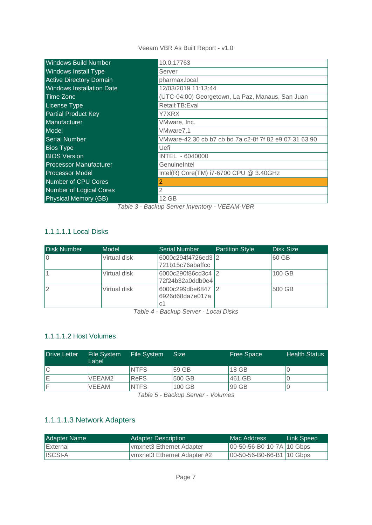| <b>Windows Build Number</b>      | 10.0.17763                                             |
|----------------------------------|--------------------------------------------------------|
| <b>Windows Install Type</b>      | Server                                                 |
| <b>Active Directory Domain</b>   | pharmax.local                                          |
| <b>Windows Installation Date</b> | 12/03/2019 11:13:44                                    |
| Time Zone                        | (UTC-04:00) Georgetown, La Paz, Manaus, San Juan       |
| <b>License Type</b>              | Retail:TB:Eval                                         |
| <b>Partial Product Key</b>       | Y7XRX                                                  |
| Manufacturer                     | VMware, Inc.                                           |
| Model                            | VMware7,1                                              |
| <b>Serial Number</b>             | VMware-42 30 cb b7 cb bd 7a c2-8f 7f 82 e9 07 31 63 90 |
| <b>Bios Type</b>                 | Uefi                                                   |
| <b>BIOS Version</b>              | INTEL - 6040000                                        |
| <b>Processor Manufacturer</b>    | GenuineIntel                                           |
| <b>Processor Model</b>           | Intel(R) Core(TM) i7-6700 CPU @ 3.40GHz                |
| <b>Number of CPU Cores</b>       | 2                                                      |
| Number of Logical Cores          | $\overline{2}$                                         |
| Physical Memory (GB)             | 12 GB                                                  |

*Table 3 - Backup Server Inventory - VEEAM-VBR*

## <span id="page-6-0"></span>1.1.1.1.1 Local Disks

| <b>Disk Number</b> | Model        | <b>Serial Number</b>                     | <b>Partition Style</b> | <b>Disk Size</b> |
|--------------------|--------------|------------------------------------------|------------------------|------------------|
| 10                 | Virtual disk | 6000c294f4726ed3 2<br>721b15c76abaffcc   |                        | 60 GB            |
|                    | Virtual disk | 6000c290f86cd3c4 2<br>72f24b32a0ddb0e4   |                        | 100 GB           |
| $\overline{2}$     | Virtual disk | 6000c299dbe6847<br>6926d68da7e017a<br>C1 |                        | 500 GB           |

*Table 4 - Backup Server - Local Disks*

## <span id="page-6-1"></span>1.1.1.1.2 Host Volumes

| Drive Letter | <b>File System</b><br>Label | <b>File System</b> | <b>Size</b> | <b>Free Space</b> | <b>Health Status</b> |
|--------------|-----------------------------|--------------------|-------------|-------------------|----------------------|
|              |                             | <b>NTFS</b>        | 59 GB       | 18 GB             |                      |
|              | VEEAM2                      | <b>ReFS</b>        | 500 GB      | 461 GB            |                      |
|              | <b>VEEAM</b>                | <b>NTFS</b>        | 100 GB      | 99 GB             |                      |

*Table 5 - Backup Server - Volumes*

## <span id="page-6-2"></span>1.1.1.1.3 Network Adapters

| <b>Adapter Name</b> | <b>Adapter Description</b>  | Mac Address                  | Link Speed |
|---------------------|-----------------------------|------------------------------|------------|
| External            | Ivmxnet3 Ethernet Adapter   | 00-50-56-B0-10-7A 10 Gbps    |            |
| <b>ISCSI-A</b>      | vmxnet3 Ethernet Adapter #2 | $ 00-50-56-B0-66-B1 10$ Gbps |            |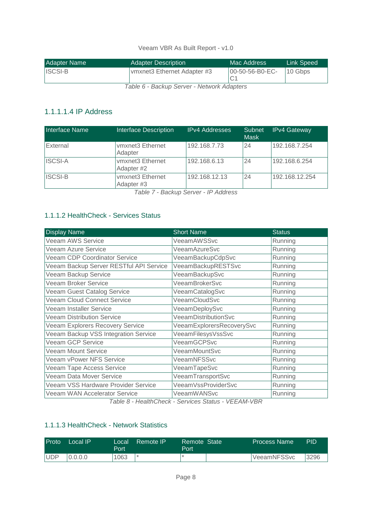| <b>Adapter Description</b>  | Mac Address | Link Speed'        |
|-----------------------------|-------------|--------------------|
| vmxnet3 Ethernet Adapter #3 |             | 10 Gbps            |
|                             |             | $ 00-50-56-B0-EC-$ |

*Table 6 - Backup Server - Network Adapters*

## <span id="page-7-0"></span>1.1.1.1.4 IP Address

| Interface Name | <b>Interface Description</b>            | <b>IPv4 Addresses</b> | Subnet<br><b>Mask</b> | <b>IPv4 Gateway</b> |
|----------------|-----------------------------------------|-----------------------|-----------------------|---------------------|
| External       | vmxnet <sub>3</sub> Ethernet<br>Adapter | 192.168.7.73          | 24                    | 192.168.7.254       |
| <b>ISCSI-A</b> | vmxnet3 Ethernet<br>Adapter #2          | 192.168.6.13          | 24                    | 192.168.6.254       |
| <b>ISCSI-B</b> | vmxnet3 Ethernet<br>Adapter #3          | 192.168.12.13         | 24                    | 192.168.12.254      |

*Table 7 - Backup Server - IP Address*

## <span id="page-7-1"></span>1.1.1.2 HealthCheck - Services Status

| <b>Display Name</b>                     | <b>Short Name</b>         | <b>Status</b> |
|-----------------------------------------|---------------------------|---------------|
| Veeam AWS Service                       | VeeamAWSSvc               | Running       |
| <b>Veeam Azure Service</b>              | VeeamAzureSvc             | Running       |
| <b>Veeam CDP Coordinator Service</b>    | VeeamBackupCdpSvc         | Running       |
| Veeam Backup Server RESTful API Service | VeeamBackupRESTSvc        | Running       |
| Veeam Backup Service                    | VeeamBackupSvc            | Running       |
| Veeam Broker Service                    | VeeamBrokerSvc            | Running       |
| Veeam Guest Catalog Service             | VeeamCatalogSvc           | Running       |
| <b>Veeam Cloud Connect Service</b>      | VeeamCloudSvc             | Running       |
| Veeam Installer Service                 | VeeamDeploySvc            | Running       |
| <b>Veeam Distribution Service</b>       | VeeamDistributionSvc      | Running       |
| Veeam Explorers Recovery Service        | VeeamExplorersRecoverySvc | Running       |
| Veeam Backup VSS Integration Service    | VeeamFilesysVssSvc        | Running       |
| <b>Veeam GCP Service</b>                | VeeamGCPSvc               | Running       |
| <b>Veeam Mount Service</b>              | VeeamMountSvc             | Running       |
| <b>Veeam vPower NFS Service</b>         | VeeamNFSSvc               | Running       |
| <b>Veeam Tape Access Service</b>        | VeeamTapeSvc              | Running       |
| Veeam Data Mover Service                | VeeamTransportSvc         | Running       |
| Veeam VSS Hardware Provider Service     | VeeamVssProviderSvc       | Running       |
| Veeam WAN Accelerator Service           | <b>VeeamWANSvc</b>        | Running       |

*Table 8 - HealthCheck - Services Status - VEEAM-VBR*

#### <span id="page-7-2"></span>1.1.1.3 HealthCheck - Network Statistics

| Proto      | Local IP | Local<br>Port | Remote IP | Remote State<br>Port | <b>Process Name</b> | PID  |
|------------|----------|---------------|-----------|----------------------|---------------------|------|
| <b>UDP</b> | 0.0.0.0  | 1063          |           |                      | <b>VeeamNFSSvc</b>  | 3296 |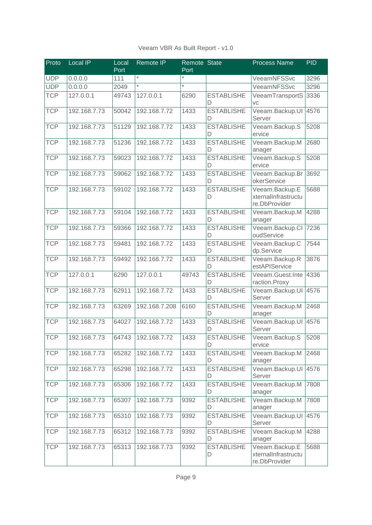| Veeam VBR As Built Report - v1.0 |  |  |  |  |  |
|----------------------------------|--|--|--|--|--|
|----------------------------------|--|--|--|--|--|

| Proto      | Local IP     | Local<br>Port | <b>Remote IP</b> | Remote State<br>Port |                        | <b>Process Name</b>                                    | <b>PID</b> |
|------------|--------------|---------------|------------------|----------------------|------------------------|--------------------------------------------------------|------------|
| <b>UDP</b> | 0.0.0.0      | 111           | $\star$          | $\star$              |                        | VeeamNFSSvc                                            | 3296       |
| <b>UDP</b> | 0.0.0.0      | 2049          | $\star$          | $\star$              |                        | VeeamNFSSvc                                            | 3296       |
| <b>TCP</b> | 127.0.0.1    | 49743         | 127.0.0.1        | 6290                 | <b>ESTABLISHE</b><br>D | VeeamTransportS<br>VC                                  | 3336       |
| <b>TCP</b> | 192.168.7.73 | 50042         | 192.168.7.72     | 1433                 | <b>ESTABLISHE</b><br>D | Veeam.Backup.UI<br>Server                              | 4576       |
| <b>TCP</b> | 192.168.7.73 | 51129         | 192.168.7.72     | 1433                 | <b>ESTABLISHE</b><br>D | Veeam.Backup.S<br>ervice                               | 5208       |
| <b>TCP</b> | 192.168.7.73 | 51236         | 192.168.7.72     | 1433                 | <b>ESTABLISHE</b><br>D | Veeam.Backup.M<br>anager                               | 2680       |
| <b>TCP</b> | 192.168.7.73 | 59023         | 192.168.7.72     | 1433                 | <b>ESTABLISHE</b><br>D | Veeam.Backup.S<br>ervice                               | 5208       |
| <b>TCP</b> | 192.168.7.73 | 59062         | 192.168.7.72     | 1433                 | <b>ESTABLISHE</b><br>D | Veeam.Backup.Br<br>okerService                         | 3692       |
| <b>TCP</b> | 192.168.7.73 | 59102         | 192.168.7.72     | 1433                 | <b>ESTABLISHE</b><br>D | Veeam.Backup.E<br>xternalInfrastructu<br>re.DbProvider | 5688       |
| <b>TCP</b> | 192.168.7.73 | 59104         | 192.168.7.72     | 1433                 | <b>ESTABLISHE</b><br>D | Veeam.Backup.M<br>anager                               | 4288       |
| <b>TCP</b> | 192.168.7.73 | 59366         | 192.168.7.72     | 1433                 | <b>ESTABLISHE</b><br>D | Veeam.Backup.Cl<br>oudService                          | 7236       |
| <b>TCP</b> | 192.168.7.73 | 59481         | 192.168.7.72     | 1433                 | <b>ESTABLISHE</b><br>D | Veeam.Backup.C<br>dp.Service                           | 7544       |
| <b>TCP</b> | 192.168.7.73 | 59492         | 192.168.7.72     | 1433                 | <b>ESTABLISHE</b><br>D | Veeam.Backup.R<br>estAPIService                        | 3876       |
| <b>TCP</b> | 127.0.0.1    | 6290          | 127.0.0.1        | 49743                | <b>ESTABLISHE</b><br>D | Veeam.Guest.Inte<br>raction.Proxy                      | 4336       |
| <b>TCP</b> | 192.168.7.73 | 62911         | 192.168.7.72     | 1433                 | <b>ESTABLISHE</b><br>D | Veeam.Backup.UI<br>Server                              | 4576       |
| <b>TCP</b> | 192.168.7.73 | 63269         | 192.168.7.208    | 6160                 | <b>ESTABLISHE</b><br>D | Veeam.Backup.M<br>anager                               | 2468       |
| <b>TCP</b> | 192.168.7.73 | 64027         | 192.168.7.72     | 1433                 | <b>ESTABLISHE</b><br>D | Veeam.Backup.UI<br>Server                              | 4576       |
| <b>TCP</b> | 192.168.7.73 | 64743         | 192.168.7.72     | 1433                 | <b>ESTABLISHE</b><br>D | Veeam.Backup.S<br>ervice                               | 5208       |
| <b>TCP</b> | 192.168.7.73 | 65282         | 192.168.7.72     | 1433                 | <b>ESTABLISHE</b><br>D | Veeam.Backup.M<br>anager                               | 2468       |
| <b>TCP</b> | 192.168.7.73 | 65298         | 192.168.7.72     | 1433                 | <b>ESTABLISHE</b><br>D | Veeam.Backup.UI<br>Server                              | 4576       |
| <b>TCP</b> | 192.168.7.73 | 65306         | 192.168.7.72     | 1433                 | <b>ESTABLISHE</b><br>D | Veeam.Backup.M<br>anager                               | 7808       |
| <b>TCP</b> | 192.168.7.73 | 65307         | 192.168.7.73     | 9392                 | <b>ESTABLISHE</b><br>D | Veeam.Backup.M<br>anager                               | 7808       |
| <b>TCP</b> | 192.168.7.73 | 65310         | 192.168.7.73     | 9392                 | <b>ESTABLISHE</b><br>D | Veeam.Backup.UI<br>Server                              | 4576       |
| <b>TCP</b> | 192.168.7.73 | 65312         | 192.168.7.73     | 9392                 | <b>ESTABLISHE</b><br>D | Veeam.Backup.M<br>anager                               | 4288       |
| <b>TCP</b> | 192.168.7.73 | 65313         | 192.168.7.73     | 9392                 | <b>ESTABLISHE</b><br>D | Veeam.Backup.E<br>xternalInfrastructu<br>re.DbProvider | 5688       |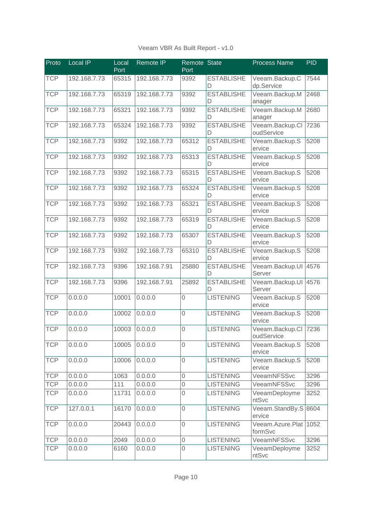| Veeam VBR As Built Report - v1.0 |  |  |  |  |  |  |
|----------------------------------|--|--|--|--|--|--|
|----------------------------------|--|--|--|--|--|--|

| Proto      | Local IP     | Local<br>Port | <b>Remote IP</b> | Remote State<br>Port |                        | <b>Process Name</b>           | <b>PID</b> |
|------------|--------------|---------------|------------------|----------------------|------------------------|-------------------------------|------------|
| <b>TCP</b> | 192.168.7.73 | 65315         | 192.168.7.73     | 9392                 | <b>ESTABLISHE</b><br>D | Veeam.Backup.C<br>dp.Service  | 7544       |
| <b>TCP</b> | 192.168.7.73 | 65319         | 192.168.7.73     | 9392                 | <b>ESTABLISHE</b><br>D | Veeam.Backup.M<br>anager      | 2468       |
| <b>TCP</b> | 192.168.7.73 | 65321         | 192.168.7.73     | 9392                 | <b>ESTABLISHE</b><br>D | Veeam.Backup.M<br>anager      | 2680       |
| <b>TCP</b> | 192.168.7.73 | 65324         | 192.168.7.73     | 9392                 | <b>ESTABLISHE</b><br>D | Veeam.Backup.Cl<br>oudService | 7236       |
| <b>TCP</b> | 192.168.7.73 | 9392          | 192.168.7.73     | 65312                | <b>ESTABLISHE</b><br>D | Veeam.Backup.S<br>ervice      | 5208       |
| <b>TCP</b> | 192.168.7.73 | 9392          | 192.168.7.73     | 65313                | <b>ESTABLISHE</b><br>D | Veeam.Backup.S<br>ervice      | 5208       |
| <b>TCP</b> | 192.168.7.73 | 9392          | 192.168.7.73     | 65315                | <b>ESTABLISHE</b><br>D | Veeam.Backup.S<br>ervice      | 5208       |
| <b>TCP</b> | 192.168.7.73 | 9392          | 192.168.7.73     | 65324                | <b>ESTABLISHE</b><br>D | Veeam.Backup.S<br>ervice      | 5208       |
| <b>TCP</b> | 192.168.7.73 | 9392          | 192.168.7.73     | 65321                | <b>ESTABLISHE</b><br>D | Veeam.Backup.S<br>ervice      | 5208       |
| <b>TCP</b> | 192.168.7.73 | 9392          | 192.168.7.73     | 65319                | <b>ESTABLISHE</b><br>D | Veeam.Backup.S<br>ervice      | 5208       |
| <b>TCP</b> | 192.168.7.73 | 9392          | 192.168.7.73     | 65307                | <b>ESTABLISHE</b><br>D | Veeam.Backup.S<br>ervice      | 5208       |
| <b>TCP</b> | 192.168.7.73 | 9392          | 192.168.7.73     | 65310                | <b>ESTABLISHE</b><br>D | Veeam.Backup.S<br>ervice      | 5208       |
| <b>TCP</b> | 192.168.7.73 | 9396          | 192.168.7.91     | 25880                | <b>ESTABLISHE</b><br>D | Veeam.Backup.UI<br>Server     | 4576       |
| <b>TCP</b> | 192.168.7.73 | 9396          | 192.168.7.91     | 25892                | <b>ESTABLISHE</b><br>D | Veeam.Backup.UI<br>Server     | 4576       |
| <b>TCP</b> | 0.0.0.0      | 10001         | 0.0.0.0          | 0                    | <b>LISTENING</b>       | Veeam.Backup.S<br>ervice      | 5208       |
| <b>TCP</b> | 0.0.0.0      | 10002         | 0.0.0.0          | 0                    | <b>LISTENING</b>       | Veeam.Backup.S<br>ervice      | 5208       |
| <b>TCP</b> | 0.0.0.0      | 10003         | 0.0.0.0          | 0                    | <b>LISTENING</b>       | Veeam.Backup.Cl<br>oudService | 7236       |
| <b>TCP</b> | 0.0.0.0      | 10005         | 0.0.0.0          | 0                    | <b>LISTENING</b>       | Veeam.Backup.S<br>ervice      | 5208       |
| <b>TCP</b> | 0.0.0.0      | 10006         | 0.0.0.0          | $\overline{0}$       | <b>LISTENING</b>       | Veeam.Backup.S<br>ervice      | 5208       |
| <b>TCP</b> | 0.0.0.0      | 1063          | 0.0.0.0          | $\overline{0}$       | <b>LISTENING</b>       | VeeamNFSSvc                   | 3296       |
| <b>TCP</b> | 0.0.0.0      | 111           | 0.0.0.0          | 0                    | <b>LISTENING</b>       | VeeamNFSSvc                   | 3296       |
| <b>TCP</b> | 0.0.0.0      | 11731         | 0.0.0.0          | $\overline{0}$       | <b>LISTENING</b>       | VeeamDeployme<br>ntSvc        | 3252       |
| <b>TCP</b> | 127.0.0.1    | 16170         | 0.0.0.0          | $\overline{0}$       | <b>LISTENING</b>       | Veeam.StandBy.S<br>ervice     | 8604       |
| <b>TCP</b> | 0.0.0.0      | 20443         | 0.0.0.0          | $\mathbf 0$          | <b>LISTENING</b>       | Veeam.Azure.Plat<br>formSvc   | 1052       |
| <b>TCP</b> | 0.0.0.0      | 2049          | 0.0.0.0          | 0                    | <b>LISTENING</b>       | VeeamNFSSvc                   | 3296       |
| <b>TCP</b> | 0.0.0.0      | 6160          | 0.0.0.0          | $\mathbf 0$          | <b>LISTENING</b>       | VeeamDeployme<br>ntSvc        | 3252       |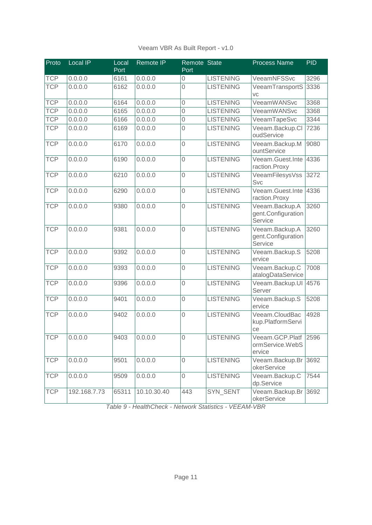| Veeam VBR As Built Report - v1.0 |  |  |  |  |  |
|----------------------------------|--|--|--|--|--|
|----------------------------------|--|--|--|--|--|

| Proto      | <b>Local IP</b> | Local<br>Port | <b>Remote IP</b> | Remote State<br>Port |                  | <b>Process Name</b>                               | <b>PID</b> |
|------------|-----------------|---------------|------------------|----------------------|------------------|---------------------------------------------------|------------|
| <b>TCP</b> | 0.0.0.0         | 6161          | 0.0.0.0          | 0                    | <b>LISTENING</b> | VeeamNFSSvc                                       | 3296       |
| <b>TCP</b> | 0.0.0.0         | 6162          | 0.0.0.0          | 0                    | <b>LISTENING</b> | VeeamTransportS<br>VC                             | 3336       |
| <b>TCP</b> | 0.0.0.0         | 6164          | 0.0.0.0          | 0                    | <b>LISTENING</b> | VeeamWANSvc                                       | 3368       |
| <b>TCP</b> | 0.0.0.0         | 6165          | 0.0.0.0          | 0                    | <b>LISTENING</b> | VeeamWANSvc                                       | 3368       |
| <b>TCP</b> | 0.0.0.0         | 6166          | 0.0.0.0          | 0                    | <b>LISTENING</b> | VeeamTapeSvc                                      | 3344       |
| <b>TCP</b> | 0.0.0.0         | 6169          | 0.0.0.0          | 0                    | <b>LISTENING</b> | Veeam.Backup.Cl<br>oudService                     | 7236       |
| <b>TCP</b> | 0.0.0.0         | 6170          | 0.0.0.0          | 0                    | <b>LISTENING</b> | Veeam.Backup.M<br>ountService                     | 9080       |
| <b>TCP</b> | 0.0.0.0         | 6190          | 0.0.0.0          | 0                    | <b>LISTENING</b> | Veeam.Guest.Inte<br>raction.Proxy                 | 4336       |
| <b>TCP</b> | 0.0.0.0         | 6210          | 0.0.0.0          | 0                    | <b>LISTENING</b> | VeeamFilesysVss<br><b>Svc</b>                     | 3272       |
| <b>TCP</b> | 0.0.0.0         | 6290          | 0.0.0.0          | 0                    | <b>LISTENING</b> | Veeam.Guest.Inte<br>raction.Proxy                 | 4336       |
| <b>TCP</b> | 0.0.0.0         | 9380          | 0.0.0.0          | 0                    | <b>LISTENING</b> | Veeam.Backup.A<br>gent.Configuration<br>Service   | 3260       |
| <b>TCP</b> | 0.0.0.0         | 9381          | 0.0.0.0          | 0                    | <b>LISTENING</b> | Veeam.Backup.A<br>gent.Configuration<br>Service   | 3260       |
| <b>TCP</b> | 0.0.0.0         | 9392          | 0.0.0.0          | 0                    | <b>LISTENING</b> | Veeam.Backup.S<br>ervice                          | 5208       |
| <b>TCP</b> | 0.0.0.0         | 9393          | 0.0.0.0          | $\mathbf 0$          | <b>LISTENING</b> | Veeam.Backup.C<br>atalogDataService               | 7008       |
| <b>TCP</b> | 0.0.0.0         | 9396          | 0.0.0.0          | 0                    | <b>LISTENING</b> | Veeam.Backup.UI<br>Server                         | 4576       |
| <b>TCP</b> | 0.0.0.0         | 9401          | 0.0.0.0          | 0                    | <b>LISTENING</b> | Veeam.Backup.S<br>ervice                          | 5208       |
| <b>TCP</b> | 0.0.0.0         | 9402          | 0.0.0.0          | 0                    | <b>LISTENING</b> | Veeam.CloudBac<br>kup.PlatformServi<br>ce         | 4928       |
| <b>TCP</b> | 0.0.0.0         | 9403          | 0.0.0.0          | $\overline{0}$       | <b>LISTENING</b> | Veeam.GCP.Platf 2596<br>ormService.WebS<br>ervice |            |
| <b>TCP</b> | 0.0.0.0         | 9501          | 0.0.0.0          | 0                    | <b>LISTENING</b> | Veeam.Backup.Br<br>okerService                    | 3692       |
| <b>TCP</b> | 0.0.0.0         | 9509          | 0.0.0.0          | $\mathbf 0$          | <b>LISTENING</b> | Veeam.Backup.C<br>dp.Service                      | 7544       |
| <b>TCP</b> | 192.168.7.73    | 65311         | 10.10.30.40      | 443                  | SYN SENT         | Veeam.Backup.Br<br>okerService                    | 3692       |

*Table 9 - HealthCheck - Network Statistics - VEEAM-VBR*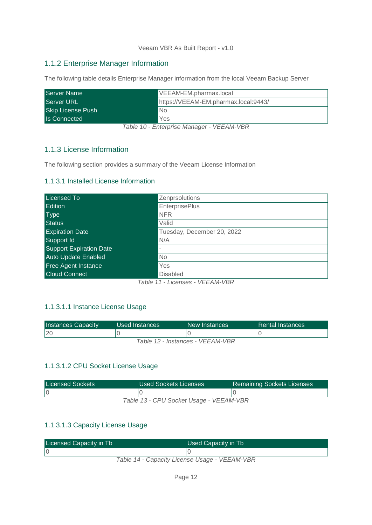## <span id="page-11-0"></span>1.1.2 Enterprise Manager Information

The following table details Enterprise Manager information from the local Veeam Backup Server

| Server Name              | VEEAM-EM.pharmax.local               |
|--------------------------|--------------------------------------|
| <b>Server URL</b>        | https://VEEAM-EM.pharmax.local:9443/ |
| <b>Skip License Push</b> | No                                   |
| <b>Is Connected</b>      | Yes                                  |

*Table 10 - Enterprise Manager - VEEAM-VBR*

## <span id="page-11-1"></span>1.1.3 License Information

<span id="page-11-2"></span>The following section provides a summary of the Veeam License Information

#### 1.1.3.1 Installed License Information

| <b>Licensed To</b>             | Zenprsolutions             |
|--------------------------------|----------------------------|
| <b>Edition</b>                 | <b>EnterprisePlus</b>      |
| Type                           | <b>NFR</b>                 |
| <b>Status</b>                  | Valid                      |
| <b>Expiration Date</b>         | Tuesday, December 20, 2022 |
| Support Id                     | N/A                        |
| <b>Support Expiration Date</b> | ۰                          |
| <b>Auto Update Enabled</b>     | <b>No</b>                  |
| <b>Free Agent Instance</b>     | Yes                        |
| <b>Cloud Connect</b>           | <b>Disabled</b>            |

*Table 11 - Licenses - VEEAM-VBR*

#### <span id="page-11-3"></span>1.1.3.1.1 Instance License Usage

| <b>Instances Capacity</b>        | Used Instances | New Instances | Rental Instances |  |  |  |
|----------------------------------|----------------|---------------|------------------|--|--|--|
| 20                               |                |               |                  |  |  |  |
| Table 12 - Instances - VEEAM-VBR |                |               |                  |  |  |  |

#### <span id="page-11-4"></span>1.1.3.1.2 CPU Socket License Usage

| <b>Licensed Sockets</b>                 | Used Sockets Licenses | <b>Remaining Sockets Licenses</b> |  |  |
|-----------------------------------------|-----------------------|-----------------------------------|--|--|
|                                         |                       |                                   |  |  |
| Table 13 - CPU Socket Usage - VEEAM-VBR |                       |                                   |  |  |

#### <span id="page-11-5"></span>1.1.3.1.3 Capacity License Usage

| Licensed Capacity in Tb | Used Capacity in Tb                           |
|-------------------------|-----------------------------------------------|
|                         |                                               |
|                         | Table 14 - Canacity License Hsane - VEEAM-VRR |

*Table 14 - Capacity License Usage - VEEAM-VBR*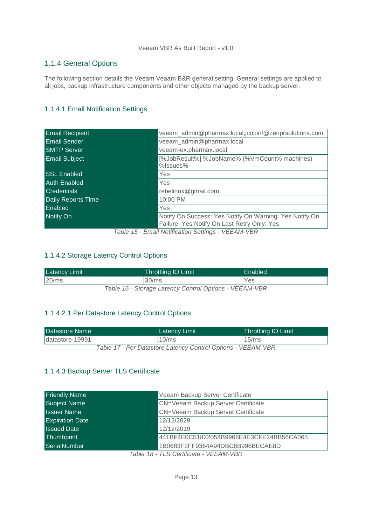## <span id="page-12-0"></span>1.1.4 General Options

The following section details the Veeam Veaam B&R general setting. General settings are applied to all jobs, backup infrastructure components and other objects managed by the backup server.

## <span id="page-12-1"></span>1.1.4.1 Email Notification Settings

| <b>Email Recipient</b> | veeam_admin@pharmax.local,jcolonf@zenprsolutions.com                                                   |  |  |
|------------------------|--------------------------------------------------------------------------------------------------------|--|--|
| <b>Email Sender</b>    | veeam_admin@pharmax.local                                                                              |  |  |
| <b>SMTP Server</b>     | veeam-ex.pharmax.local                                                                                 |  |  |
| <b>Email Subject</b>   | [%JobResult%] %JobName% (%VmCount% machines)<br>%Issues%                                               |  |  |
| <b>SSL Enabled</b>     | Yes                                                                                                    |  |  |
| <b>Auth Enabled</b>    | Yes                                                                                                    |  |  |
| <b>Credentials</b>     | rebelinux@gmail.com                                                                                    |  |  |
| Daily Reports Time     | 10:00 PM                                                                                               |  |  |
| Enabled                | Yes                                                                                                    |  |  |
| Notify On              | Notify On Success: Yes Notify On Warning: Yes Notify On<br>Failure: Yes Notify On Last Retry Only: Yes |  |  |

*Table 15 - Email Notification Settings - VEEAM-VBR*

#### <span id="page-12-2"></span>1.1.4.2 Storage Latency Control Options

| <b>Latency Limit</b>                                   | <b>Throttling IO Limit</b> | Enabled    |  |
|--------------------------------------------------------|----------------------------|------------|--|
| $20$ /ms                                               | 30/ms                      | <b>Yes</b> |  |
| Table 16 - Storage Latency Control Options - VEEAM-VBR |                            |            |  |

## <span id="page-12-3"></span>1.1.4.2.1 Per Datastore Latency Control Options

| Datastore Name   |                                                              | Latency Limit    | <b>Throttling IO Limit</b> |
|------------------|--------------------------------------------------------------|------------------|----------------------------|
| Idatastore-19991 |                                                              | $10\mathrm{/ms}$ | $15\mathrm{/ms}$           |
|                  | Table 17 - Per Datastore Latency Control Options - VEEAM-VBR |                  |                            |

#### <span id="page-12-4"></span>1.1.4.3 Backup Server TLS Certificate

| <b>Friendly Name</b>   | Veeam Backup Server Certificate          |
|------------------------|------------------------------------------|
| <b>Subject Name</b>    | CN=Veeam Backup Server Certificate       |
| <b>Issuer Name</b>     | CN=Veeam Backup Server Certificate       |
| <b>Expiration Date</b> | 12/12/2029                               |
| <b>Issued Date</b>     | 12/12/2019                               |
| Thumbprint             | 441BF4E0C51822054B9968E4E3CFE24BB56CA065 |
| <b>SerialNumber</b>    | 1B0683F2FF9364A94DBC8B996BECAE8D         |
|                        | —————————————————————                    |

*Table 18 - TLS Certificate - VEEAM-VBR*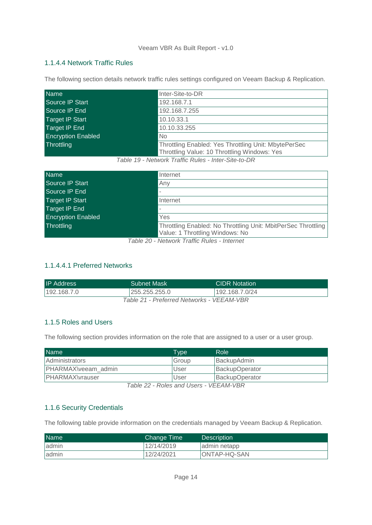#### <span id="page-13-0"></span>1.1.4.4 Network Traffic Rules

The following section details network traffic rules settings configured on Veeam Backup & Replication.

| <b>Name</b>               | Inter-Site-to-DR                                                                                     |
|---------------------------|------------------------------------------------------------------------------------------------------|
| Source IP Start           | 192.168.7.1                                                                                          |
| Source IP End             | 192.168.7.255                                                                                        |
| <b>Target IP Start</b>    | 10.10.33.1                                                                                           |
| Target IP End             | 10.10.33.255                                                                                         |
| <b>Encryption Enabled</b> | N <sub>o</sub>                                                                                       |
| Throttling                | Throttling Enabled: Yes Throttling Unit: MbytePerSec<br>Throttling Value: 10 Throttling Windows: Yes |

*Table 19 - Network Traffic Rules - Inter-Site-to-DR*

| <b>Name</b>               | Internet                                                      |
|---------------------------|---------------------------------------------------------------|
| Source IP Start           | Any                                                           |
| Source IP End             |                                                               |
| Target IP Start           | Internet                                                      |
| Target IP End             | $\overline{\phantom{a}}$                                      |
| <b>Encryption Enabled</b> | Yes                                                           |
| Throttling                | Throttling Enabled: No Throttling Unit: MbitPerSec Throttling |
|                           | Value: 1 Throttling Windows: No                               |

*Table 20 - Network Traffic Rules - Internet*

## <span id="page-13-1"></span>1.1.4.4.1 Preferred Networks

| <b>IP Address</b>                         | <b>Subnet Mask</b> | <b>CIDR Notation</b> |  |  |
|-------------------------------------------|--------------------|----------------------|--|--|
| 192.168.7.0                               | 255.255.255.0      | 192.168.7.0/24       |  |  |
| Table 21 - Preferred Networks - VEEAM-VBR |                    |                      |  |  |

#### <span id="page-13-2"></span>1.1.5 Roles and Users

The following section provides information on the role that are assigned to a user or a user group.

| <b>Name</b>         | <b>Type</b> | Role'          |
|---------------------|-------------|----------------|
| Administrators      | Group       | BackupAdmin    |
| PHARMAX\veeam_admin | User        | BackupOperator |
| PHARMAX\vrauser     | User        | BackupOperator |
|                     |             |                |

*Table 22 - Roles and Users - VEEAM-VBR*

#### <span id="page-13-3"></span>1.1.6 Security Credentials

The following table provide information on the credentials managed by Veeam Backup & Replication.

| <b>Name</b> | Change Time | <b>Description</b> |
|-------------|-------------|--------------------|
| ladmin      | 12/14/2019  | admin netapp       |
| admin       | 12/24/2021  | ONTAP-HQ-SAN       |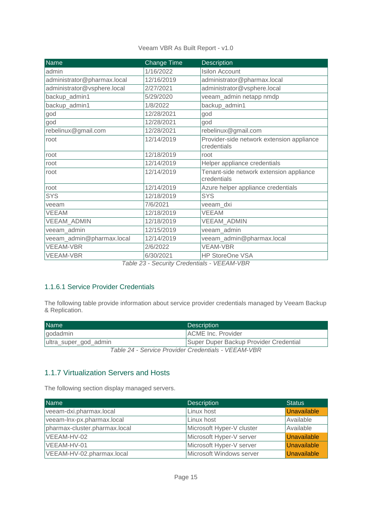| Veeam VBR As Built Report - v1.0 |  |  |  |  |  |  |  |  |
|----------------------------------|--|--|--|--|--|--|--|--|
|----------------------------------|--|--|--|--|--|--|--|--|

| <b>Name</b>                 | <b>Change Time</b>                                   | <b>Description</b>                                       |
|-----------------------------|------------------------------------------------------|----------------------------------------------------------|
| admin                       | 1/16/2022                                            | <b>Isilon Account</b>                                    |
| administrator@pharmax.local | 12/16/2019                                           | administrator@pharmax.local                              |
| administrator@vsphere.local | 2/27/2021                                            | administrator@vsphere.local                              |
| backup_admin1               | 5/29/2020                                            | veeam_admin netapp nmdp                                  |
| backup_admin1               | 1/8/2022                                             | backup_admin1                                            |
| god                         | 12/28/2021                                           | god                                                      |
| god                         | 12/28/2021                                           | god                                                      |
| rebelinux@gmail.com         | 12/28/2021                                           | rebelinux@gmail.com                                      |
| root                        | 12/14/2019                                           | Provider-side network extension appliance<br>credentials |
| root                        | 12/18/2019                                           | root                                                     |
| root                        | 12/14/2019                                           | Helper appliance credentials                             |
| root                        | 12/14/2019                                           | Tenant-side network extension appliance<br>credentials   |
| root                        | 12/14/2019                                           | Azure helper appliance credentials                       |
| <b>SYS</b>                  | 12/18/2019                                           | <b>SYS</b>                                               |
| veeam                       | 7/6/2021                                             | veeam_dxi                                                |
| VEEAM                       | 12/18/2019                                           | <b>VEEAM</b>                                             |
| VEEAM_ADMIN                 | 12/18/2019                                           | VEEAM_ADMIN                                              |
| veeam_admin                 | 12/15/2019                                           | veeam_admin                                              |
| veeam_admin@pharmax.local   | 12/14/2019                                           | veeam_admin@pharmax.local                                |
| <b>VEEAM-VBR</b>            | 2/6/2022                                             | <b>VEAM-VBR</b>                                          |
| <b>VEEAM-VBR</b>            | 6/30/2021<br>Table 22 Security Credentials VEEAM VDD | <b>HP StoreOne VSA</b>                                   |

*Table 23 - Security Credentials - VEEAM-VBR*

#### <span id="page-14-0"></span>1.1.6.1 Service Provider Credentials

The following table provide information about service provider credentials managed by Veeam Backup & Replication.

| <b>Name</b>                                         | <b>Description</b>                     |  |
|-----------------------------------------------------|----------------------------------------|--|
| godadmin                                            | <b>ACME</b> Inc. Provider              |  |
| ultra_super_god_admin                               | Super Duper Backup Provider Credential |  |
| Tahle 24 - Service Provider Credentials - VEEAM-VRR |                                        |  |

*Table 24 - Service Provider Credentials - VEEAM-VBR*

## <span id="page-14-1"></span>1.1.7 Virtualization Servers and Hosts

The following section display managed servers.

| <b>Name</b>                   | <b>Description</b>        | <b>Status</b>      |
|-------------------------------|---------------------------|--------------------|
| veeam-dxi.pharmax.local       | Linux host                | <b>Unavailable</b> |
| veeam-lnx-px.pharmax.local    | Linux host                | Available          |
| pharmax-cluster.pharmax.local | Microsoft Hyper-V cluster | Available          |
| VEEAM-HV-02                   | Microsoft Hyper-V server  | <b>Unavailable</b> |
| VEEAM-HV-01                   | Microsoft Hyper-V server  | Unavailable        |
| VEEAM-HV-02.pharmax.local     | Microsoft Windows server  | Unavailable        |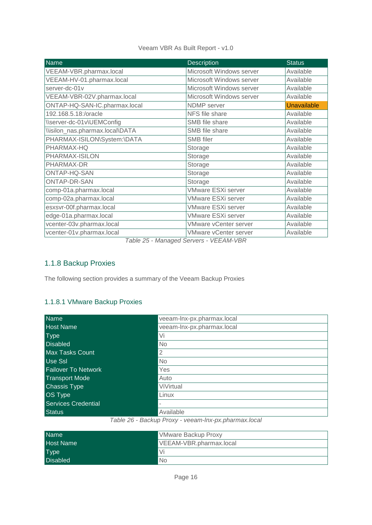| <b>Name</b>                     | <b>Description</b>           | <b>Status</b>      |
|---------------------------------|------------------------------|--------------------|
| VEEAM-VBR.pharmax.local         | Microsoft Windows server     | Available          |
| VEEAM-HV-01.pharmax.local       | Microsoft Windows server     | Available          |
| server-dc-01v                   | Microsoft Windows server     | Available          |
| VEEAM-VBR-02V.pharmax.local     | Microsoft Windows server     | Available          |
| ONTAP-HQ-SAN-IC.pharmax.local   | NDMP server                  | <b>Unavailable</b> |
| 192.168.5.18:/oracle            | NFS file share               | Available          |
| \\server-dc-01v\UEMConfig       | SMB file share               | Available          |
| \\isilon_nas.pharmax.local\DATA | SMB file share               | Available          |
| PHARMAX-ISILON\System:\DATA     | <b>SMB</b> filer             | Available          |
| PHARMAX-HQ                      | Storage                      | Available          |
| PHARMAX-ISILON                  | Storage                      | Available          |
| PHARMAX-DR                      | Storage                      | Available          |
| ONTAP-HQ-SAN                    | Storage                      | Available          |
| <b>ONTAP-DR-SAN</b>             | Storage                      | Available          |
| comp-01a.pharmax.local          | <b>VMware ESXi server</b>    | Available          |
| comp-02a.pharmax.local          | <b>VMware ESXi server</b>    | Available          |
| esxsvr-00f.pharmax.local        | <b>VMware ESXi server</b>    | Available          |
| edge-01a.pharmax.local          | <b>VMware ESXi server</b>    | Available          |
| vcenter-03v.pharmax.local       | <b>VMware vCenter server</b> | Available          |
| vcenter-01v.pharmax.local       | <b>VMware vCenter server</b> | Available          |

*Table 25 - Managed Servers - VEEAM-VBR*

## <span id="page-15-0"></span>1.1.8 Backup Proxies

The following section provides a summary of the Veeam Backup Proxies

#### <span id="page-15-1"></span>1.1.8.1 VMware Backup Proxies

| <b>Name</b>                | veeam-lnx-px.pharmax.local |
|----------------------------|----------------------------|
| <b>Host Name</b>           | veeam-lnx-px.pharmax.local |
| <b>Type</b>                | Vi                         |
| <b>Disabled</b>            | <b>No</b>                  |
| <b>Max Tasks Count</b>     | $\overline{2}$             |
| <b>Use Ssl</b>             | <b>No</b>                  |
| <b>Failover To Network</b> | Yes                        |
| <b>Transport Mode</b>      | Auto                       |
| <b>Chassis Type</b>        | ViVirtual                  |
| <b>OS Type</b>             | Linux                      |
| Services Credential        |                            |
| <b>Status</b>              | Available                  |

*Table 26 - Backup Proxy - veeam-lnx-px.pharmax.local*

| <b>Name</b>      | <b>VMware Backup Proxy</b> |
|------------------|----------------------------|
| <b>Host Name</b> | VEEAM-VBR.pharmax.local    |
| <b>Type</b>      | Vi                         |
| <b>Disabled</b>  | <b>No</b>                  |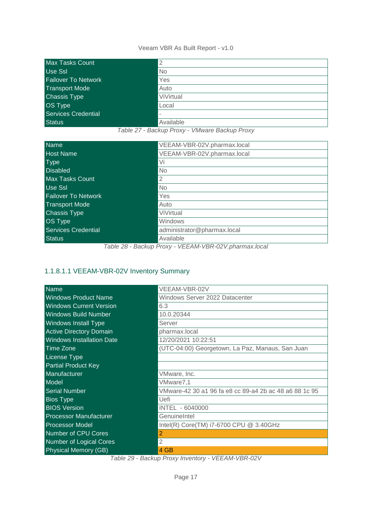| Max Tasks Count            | 2         |
|----------------------------|-----------|
| <b>Use Ssl</b>             | <b>No</b> |
| <b>Failover To Network</b> | Yes       |
| Transport Mode             | Auto      |
| <b>Chassis Type</b>        | ViVirtual |
| OS Type                    | Local     |
| <b>Services Credential</b> |           |
| <b>Status</b>              | Available |

*Table 27 - Backup Proxy - VMware Backup Proxy*

| <b>Name</b>                | VEEAM-VBR-02V.pharmax.local |
|----------------------------|-----------------------------|
| <b>Host Name</b>           | VEEAM-VBR-02V.pharmax.local |
| <b>Type</b>                | Vi                          |
| <b>Disabled</b>            | No                          |
| <b>Max Tasks Count</b>     | $\overline{2}$              |
| Use Ssl                    | N <sub>o</sub>              |
| <b>Failover To Network</b> | Yes                         |
| <b>Transport Mode</b>      | Auto                        |
| <b>Chassis Type</b>        | ViVirtual                   |
| <b>OS Type</b>             | Windows                     |
| <b>Services Credential</b> | administrator@pharmax.local |
| <b>Status</b>              | Available                   |

*Table 28 - Backup Proxy - VEEAM-VBR-02V.pharmax.local*

## <span id="page-16-0"></span>1.1.8.1.1 VEEAM-VBR-02V Inventory Summary

| <b>Name</b>                      | VEEAM-VBR-02V                                          |
|----------------------------------|--------------------------------------------------------|
| <b>Windows Product Name</b>      | Windows Server 2022 Datacenter                         |
| <b>Windows Current Version</b>   | 6.3                                                    |
| <b>Windows Build Number</b>      | 10.0.20344                                             |
| <b>Windows Install Type</b>      | Server                                                 |
| <b>Active Directory Domain</b>   | pharmax.local                                          |
| <b>Windows Installation Date</b> | 12/20/2021 10:22:51                                    |
| Time Zone                        | (UTC-04:00) Georgetown, La Paz, Manaus, San Juan       |
| <b>License Type</b>              |                                                        |
| <b>Partial Product Key</b>       |                                                        |
| Manufacturer                     | VMware, Inc.                                           |
| Model                            | VMware7,1                                              |
| <b>Serial Number</b>             | VMware-42 30 a1 96 fa e8 cc 89-a4 2b ac 48 a6 88 1c 95 |
| <b>Bios Type</b>                 | Uefi                                                   |
| <b>BIOS Version</b>              | INTEL - 6040000                                        |
| <b>Processor Manufacturer</b>    | GenuineIntel                                           |
| <b>Processor Model</b>           | Intel(R) Core(TM) i7-6700 CPU @ 3.40GHz                |
| <b>Number of CPU Cores</b>       | 2                                                      |
| <b>Number of Logical Cores</b>   | $\overline{2}$                                         |
| <b>Physical Memory (GB)</b>      | 4 GB                                                   |

*Table 29 - Backup Proxy Inventory - VEEAM-VBR-02V*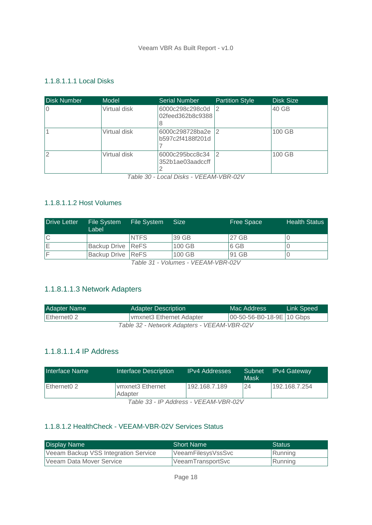#### <span id="page-17-0"></span>1.1.8.1.1.1 Local Disks

| <b>Disk Number</b> | Model        | <b>Serial Number</b>                     | <b>Partition Style</b> | <b>Disk Size</b> |
|--------------------|--------------|------------------------------------------|------------------------|------------------|
|                    | Virtual disk | 6000c298c298c0d<br>02feed362b8c9388<br>8 | 12                     | 40 GB            |
|                    | Virtual disk | 6000c298728ba2e<br>b597c2f4188f201d      | $\overline{2}$         | 100 GB           |
| $\overline{2}$     | Virtual disk | 6000c295bcc8c34<br>352b1ae03aadccff      | $\overline{2}$         | 100 GB           |

*Table 30 - Local Disks - VEEAM-VBR-02V*

#### <span id="page-17-1"></span>1.1.8.1.1.2 Host Volumes

| <b>Drive Letter</b> | File System<br>Label | File System | <b>Size</b>                                                       | <b>Free Space</b> | <b>Health Status</b> |
|---------------------|----------------------|-------------|-------------------------------------------------------------------|-------------------|----------------------|
| l C                 |                      | <b>NTFS</b> | 39 GB                                                             | 27 GB             |                      |
| ΙE                  | Backup Drive ReFS    |             | 100 GB                                                            | 6 GB              |                      |
| IF                  | Backup Drive ReFS    |             | 100 GB                                                            | 91 GB             |                      |
|                     |                      |             | $T \cup \alpha$ $\cup \iota$ $\cup T$ $\cap \alpha$ $\cup \alpha$ |                   |                      |

*Table 31 - Volumes - VEEAM-VBR-02V*

## <span id="page-17-2"></span>1.1.8.1.1.3 Network Adapters

| Adapter Name                                | <b>Adapter Description</b> | Mac Address               | Link Speed! |  |
|---------------------------------------------|----------------------------|---------------------------|-------------|--|
| Ethernet0 2                                 | Ivmxnet3 Ethernet Adapter  | 00-50-56-B0-18-9E 10 Gbps |             |  |
| Table 32 - Network Adapters - VEEAM-VBR-02V |                            |                           |             |  |

## <span id="page-17-3"></span>1.1.8.1.1.4 IP Address

| Interface Name                              | Interface Description        | <b>IPv4 Addresses</b> | Subnet<br>Mask | <b>IPv4 Gateway</b> |  |
|---------------------------------------------|------------------------------|-----------------------|----------------|---------------------|--|
| Ethernet0 2                                 | Ivmxnet3 Ethernet<br>Adapter | 192.168.7.189         | 24             | 192.168.7.254       |  |
| $T_2 h l_2$ 22 ID Address $1/TTAN11/DD201/$ |                              |                       |                |                     |  |

*Table 33 - IP Address - VEEAM-VBR-02V*

## <span id="page-17-4"></span>1.1.8.1.2 HealthCheck - VEEAM-VBR-02V Services Status

| <b>Display Name</b>                  | <b>Short Name</b>  | Status. |
|--------------------------------------|--------------------|---------|
| Veeam Backup VSS Integration Service | VeeamFilesysVssSvc | Running |
| Veeam Data Mover Service             | VeeamTransportSvc  | Running |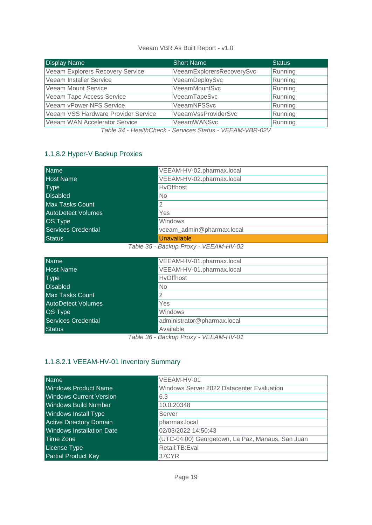| <b>Display Name</b>                 | <b>Short Name</b>         | <b>Status</b> |
|-------------------------------------|---------------------------|---------------|
| Veeam Explorers Recovery Service    | VeeamExplorersRecoverySvc | Running       |
| Veeam Installer Service             | VeeamDeploySvc            | Running       |
| <b>Veeam Mount Service</b>          | VeeamMountSvc             | Running       |
| Veeam Tape Access Service           | VeeamTapeSvc              | Running       |
| Veeam vPower NFS Service            | VeeamNFSSvc               | Running       |
| Veeam VSS Hardware Provider Service | VeeamVssProviderSvc       | Running       |
| Veeam WAN Accelerator Service       | <b>VeeamWANSvc</b>        | Running       |

*Table 34 - HealthCheck - Services Status - VEEAM-VBR-02V*

## <span id="page-18-0"></span>1.1.8.2 Hyper-V Backup Proxies

| <b>Name</b>                | VEEAM-HV-02.pharmax.local |
|----------------------------|---------------------------|
| <b>Host Name</b>           | VEEAM-HV-02.pharmax.local |
| <b>Type</b>                | <b>HvOffhost</b>          |
| <b>Disabled</b>            | No                        |
| <b>Max Tasks Count</b>     | $\overline{2}$            |
| <b>AutoDetect Volumes</b>  | Yes                       |
| <b>OS Type</b>             | Windows                   |
| <b>Services Credential</b> | veeam_admin@pharmax.local |
| <b>Status</b>              | Unavailable               |

*Table 35 - Backup Proxy - VEEAM-HV-02*

| <b>Name</b>               | VEEAM-HV-01.pharmax.local   |
|---------------------------|-----------------------------|
| <b>Host Name</b>          | VEEAM-HV-01.pharmax.local   |
| <b>Type</b>               | <b>HvOffhost</b>            |
| <b>Disabled</b>           | No                          |
| <b>Max Tasks Count</b>    | 2                           |
| <b>AutoDetect Volumes</b> | Yes                         |
| <b>OS Type</b>            | Windows                     |
| Services Credential       | administrator@pharmax.local |
| <b>Status</b>             | Available                   |
|                           | $\cdots$                    |

*Table 36 - Backup Proxy - VEEAM-HV-01*

## <span id="page-18-1"></span>1.1.8.2.1 VEEAM-HV-01 Inventory Summary

| <b>Name</b>                      | VEEAM-HV-01                                      |
|----------------------------------|--------------------------------------------------|
| <b>Windows Product Name</b>      | Windows Server 2022 Datacenter Evaluation        |
| <b>Windows Current Version</b>   | 6.3                                              |
| <b>Windows Build Number</b>      | 10.0.20348                                       |
| <b>Windows Install Type</b>      | Server                                           |
| <b>Active Directory Domain</b>   | pharmax.local                                    |
| <b>Windows Installation Date</b> | 02/03/2022 14:50:43                              |
| <b>Time Zone</b>                 | (UTC-04:00) Georgetown, La Paz, Manaus, San Juan |
| <b>License Type</b>              | Retail:TB:Eval                                   |
| <b>Partial Product Key</b>       | 37CYR                                            |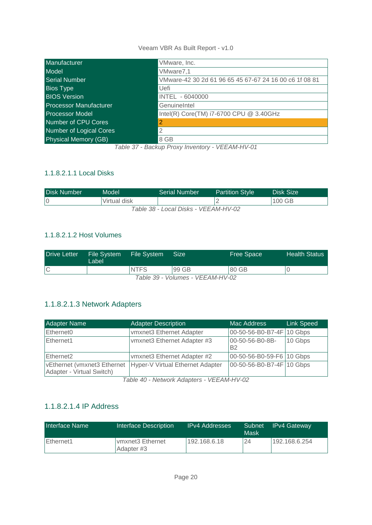| Manufacturer                  | VMware, Inc.                                           |
|-------------------------------|--------------------------------------------------------|
| Model                         | VMware7,1                                              |
| <b>Serial Number</b>          | VMware-42 30 2d 61 96 65 45 67-67 24 16 00 c6 1f 08 81 |
| <b>Bios Type</b>              | Uefi                                                   |
| <b>BIOS Version</b>           | INTEL - 6040000                                        |
| <b>Processor Manufacturer</b> | GenuineIntel                                           |
| <b>Processor Model</b>        | Intel(R) Core(TM) i7-6700 CPU @ 3.40GHz                |
| Number of CPU Cores           | 2                                                      |
| Number of Logical Cores       | 2                                                      |
| <b>Physical Memory (GB)</b>   | 8 GB                                                   |

*Table 37 - Backup Proxy Inventory - VEEAM-HV-01*

## <span id="page-19-0"></span>1.1.8.2.1.1 Local Disks

| <b>Disk Number</b>                   | Model        | <b>Serial Number</b> | <b>Partition Style</b> | Disk Size ! |  |
|--------------------------------------|--------------|----------------------|------------------------|-------------|--|
|                                      | Virtual disk |                      |                        | 100 GB      |  |
| Table 38 - Local Disks - VEEAM-HV-02 |              |                      |                        |             |  |

## <span id="page-19-1"></span>1.1.8.2.1.2 Host Volumes

| <b>Drive Letter</b> | File System<br>Label | File System | Size  | <b>Free Space</b> | <b>Health Status</b> |
|---------------------|----------------------|-------------|-------|-------------------|----------------------|
|                     |                      | <b>NTFS</b> | 99 GB | 80 GB             |                      |
|                     |                      |             |       |                   |                      |

*Table 39 - Volumes - VEEAM-HV-02*

## <span id="page-19-2"></span>1.1.8.2.1.3 Network Adapters

| Adapter Name                                             | <b>Adapter Description</b>       | Mac Address                  | <b>Link Speed</b> |
|----------------------------------------------------------|----------------------------------|------------------------------|-------------------|
| Ethernet <sub>0</sub>                                    | vmxnet3 Ethernet Adapter         | 00-50-56-B0-B7-4F            | 10 Gbps           |
| Ethernet1                                                | vmxnet3 Ethernet Adapter #3      | 00-50-56-B0-8B-<br><b>B2</b> | 10 Gbps           |
| Ethernet <sub>2</sub>                                    | vmxnet3 Ethernet Adapter #2      | 00-50-56-B0-59-F6 10 Gbps    |                   |
| vEthernet (vmxnet3 Ethernet<br>Adapter - Virtual Switch) | Hyper-V Virtual Ethernet Adapter | 00-50-56-B0-B7-4F 10 Gbps    |                   |

*Table 40 - Network Adapters - VEEAM-HV-02*

## <span id="page-19-3"></span>1.1.8.2.1.4 IP Address

| Interface Name | Interface Description          | <b>IPv4 Addresses</b> | Subnet<br>Mask | <b>IPv4 Gateway</b> |
|----------------|--------------------------------|-----------------------|----------------|---------------------|
| Ethernet1      | vmxnet3 Ethernet<br>Adapter #3 | 192.168.6.18          | 24             | 192.168.6.254       |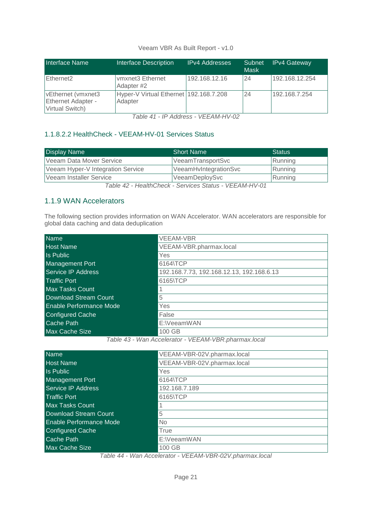| Interface Name                                                     | <b>Interface Description</b>                      | <b>IPv4 Addresses</b> | Subnet<br>Mask | <b>IPv4 Gateway</b> |
|--------------------------------------------------------------------|---------------------------------------------------|-----------------------|----------------|---------------------|
| Ethernet <sub>2</sub>                                              | vmxnet3 Ethernet<br>Adapter #2                    | 192.168.12.16         | 24             | 192.168.12.254      |
| vEthernet (vmxnet3<br><b>Ethernet Adapter -</b><br>Virtual Switch) | Hyper-V Virtual Ethernet 192.168.7.208<br>Adapter |                       | 24             | 192.168.7.254       |

*Table 41 - IP Address - VEEAM-HV-02*

## <span id="page-20-0"></span>1.1.8.2.2 HealthCheck - VEEAM-HV-01 Services Status

| <b>Display Name</b>               | <b>Short Name</b>     | <b>Status</b> |
|-----------------------------------|-----------------------|---------------|
| Veeam Data Mover Service          | VeeamTransportSvc     | Running       |
| Veeam Hyper-V Integration Service | VeeamHvIntegrationSvc | Running       |
| Veeam Installer Service           | VeeamDeploySvc        | Running       |

*Table 42 - HealthCheck - Services Status - VEEAM-HV-01*

## <span id="page-20-1"></span>1.1.9 WAN Accelerators

The following section provides information on WAN Accelerator. WAN accelerators are responsible for global data caching and data deduplication

| <b>Name</b>             | <b>VEEAM-VBR</b>                          |
|-------------------------|-------------------------------------------|
| <b>Host Name</b>        | VEEAM-VBR.pharmax.local                   |
| Is Public               | Yes                                       |
| Management Port         | 6164\TCP                                  |
| Service IP Address      | 192.168.7.73, 192.168.12.13, 192.168.6.13 |
| <b>Traffic Port</b>     | 6165\TCP                                  |
| Max Tasks Count         |                                           |
| Download Stream Count   | 5                                         |
| Enable Performance Mode | Yes                                       |
| <b>Configured Cache</b> | False                                     |
| Cache Path              | E:\VeeamWAN                               |
| <b>Max Cache Size</b>   | 100 GB                                    |

*Table 43 - Wan Accelerator - VEEAM-VBR.pharmax.local*

| <b>Name</b>                    | VEEAM-VBR-02V.pharmax.local |
|--------------------------------|-----------------------------|
| <b>Host Name</b>               | VEEAM-VBR-02V.pharmax.local |
| <b>Is Public</b>               | Yes                         |
| <b>Management Port</b>         | 6164\TCP                    |
| Service IP Address             | 192.168.7.189               |
| <b>Traffic Port</b>            | 6165\TCP                    |
| <b>Max Tasks Count</b>         |                             |
| Download Stream Count          | 5                           |
| <b>Enable Performance Mode</b> | N <sub>o</sub>              |
| <b>Configured Cache</b>        | True                        |
| Cache Path                     | E:\VeeamWAN                 |
| <b>Max Cache Size</b>          | 100 GB                      |

*Table 44 - Wan Accelerator - VEEAM-VBR-02V.pharmax.local*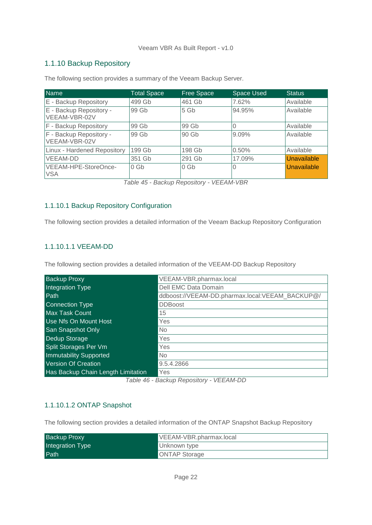## <span id="page-21-0"></span>1.1.10 Backup Repository

| <b>Name</b>                              | <b>Total Space</b> | <b>Free Space</b> | <b>Space Used</b> | Status.     |
|------------------------------------------|--------------------|-------------------|-------------------|-------------|
| E - Backup Repository                    | 499 Gb             | 461 Gb            | 7.62%             | Available   |
| E - Backup Repository -<br>VEEAM-VBR-02V | 99 Gb              | 5 <sub>6b</sub>   | 94.95%            | Available   |
| F - Backup Repository                    | 99 Gb              | 99 Gb             | O                 | Available   |
| F - Backup Repository -<br>VEEAM-VBR-02V | 99 Gb              | 90 Gb             | $9.09\%$          | Available   |
| Linux - Hardened Repository              | 199 Gb             | 198 Gb            | 0.50%             | Available   |
| <b>VEEAM-DD</b>                          | 351 Gb             | 291 Gb            | 17.09%            | Unavailable |
| VEEAM-HPE-StoreOnce-<br><b>VSA</b>       | 0 <sub>6b</sub>    | 0 <sub>6b</sub>   | 0                 | Unavailable |

The following section provides a summary of the Veeam Backup Server.

*Table 45 - Backup Repository - VEEAM-VBR*

#### <span id="page-21-1"></span>1.1.10.1 Backup Repository Configuration

The following section provides a detailed information of the Veeam Backup Repository Configuration

#### <span id="page-21-2"></span>1.1.10.1.1 VEEAM-DD

The following section provides a detailed information of the VEEAM-DD Backup Repository

| <b>Backup Proxy</b>                | VEEAM-VBR.pharmax.local                         |
|------------------------------------|-------------------------------------------------|
| Integration Type                   | Dell EMC Data Domain                            |
| Path                               | ddboost://VEEAM-DD.pharmax.local:VEEAM_BACKUP@/ |
| <b>Connection Type</b>             | <b>DDBoost</b>                                  |
| <b>Max Task Count</b>              | 15                                              |
| Use Nfs On Mount Host              | Yes                                             |
| <b>San Snapshot Only</b>           | <b>No</b>                                       |
| Dedup Storage                      | Yes                                             |
| Split Storages Per Vm              | Yes                                             |
| <b>Immutability Supported</b>      | <b>No</b>                                       |
| <b>Version Of Creation</b>         | 9.5.4.2866                                      |
| Has Backup Chain Length Limitation | Yes                                             |

*Table 46 - Backup Repository - VEEAM-DD*

#### <span id="page-21-3"></span>1.1.10.1.2 ONTAP Snapshot

The following section provides a detailed information of the ONTAP Snapshot Backup Repository

| <b>Backup Proxy</b> | VEEAM-VBR.pharmax.local |
|---------------------|-------------------------|
| Integration Type    | Unknown type            |
| Path                | <b>ONTAP Storage</b>    |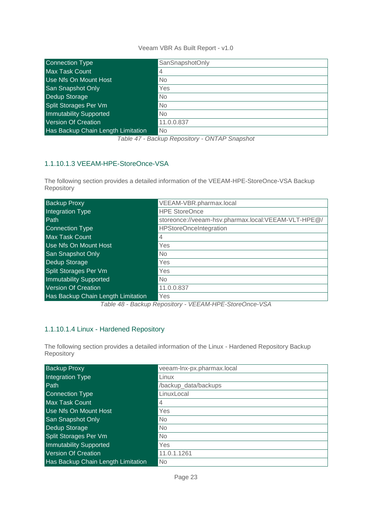| Connection Type                    | SanSnapshotOnly |
|------------------------------------|-----------------|
| <b>Max Task Count</b>              | $\overline{4}$  |
| Use Nfs On Mount Host              | No              |
| <b>San Snapshot Only</b>           | Yes             |
| Dedup Storage                      | <b>No</b>       |
| Split Storages Per Vm              | <b>No</b>       |
| <b>Immutability Supported</b>      | <b>No</b>       |
| Version Of Creation                | 11.0.0.837      |
| Has Backup Chain Length Limitation | <b>No</b>       |

*Table 47 - Backup Repository - ONTAP Snapshot*

## <span id="page-22-0"></span>1.1.10.1.3 VEEAM-HPE-StoreOnce-VSA

The following section provides a detailed information of the VEEAM-HPE-StoreOnce-VSA Backup Repository

| <b>Backup Proxy</b>                | VEEAM-VBR.pharmax.local                             |
|------------------------------------|-----------------------------------------------------|
| Integration Type                   | <b>HPE StoreOnce</b>                                |
| Path                               | storeonce://veeam-hsv.pharmax.local:VEEAM-VLT-HPE@/ |
| <b>Connection Type</b>             | <b>HPStoreOnceIntegration</b>                       |
| <b>Max Task Count</b>              | $\overline{4}$                                      |
| Use Nfs On Mount Host              | Yes                                                 |
| San Snapshot Only                  | N <sub>o</sub>                                      |
| Dedup Storage                      | Yes                                                 |
| Split Storages Per Vm              | Yes                                                 |
| <b>Immutability Supported</b>      | <b>No</b>                                           |
| Version Of Creation                | 11.0.0.837                                          |
| Has Backup Chain Length Limitation | Yes                                                 |

*Table 48 - Backup Repository - VEEAM-HPE-StoreOnce-VSA*

#### <span id="page-22-1"></span>1.1.10.1.4 Linux - Hardened Repository

The following section provides a detailed information of the Linux - Hardened Repository Backup Repository

| <b>Backup Proxy</b>                | veeam-lnx-px.pharmax.local |
|------------------------------------|----------------------------|
| Integration Type                   | Linux                      |
| Path                               | /backup_data/backups       |
| <b>Connection Type</b>             | LinuxLocal                 |
| <b>Max Task Count</b>              | 4                          |
| Use Nfs On Mount Host              | Yes                        |
| <b>San Snapshot Only</b>           | No                         |
| Dedup Storage                      | No                         |
| Split Storages Per Vm              | No                         |
| <b>Immutability Supported</b>      | Yes                        |
| <b>Version Of Creation</b>         | 11.0.1.1261                |
| Has Backup Chain Length Limitation | No                         |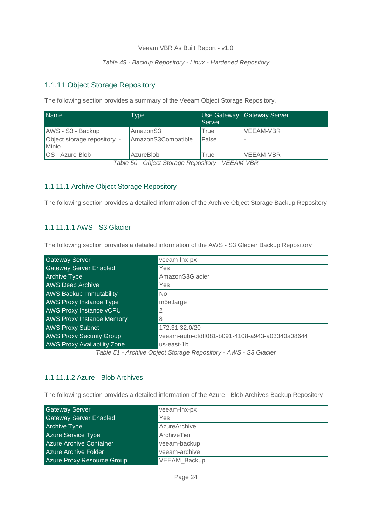#### *Table 49 - Backup Repository - Linux - Hardened Repository*

#### <span id="page-23-0"></span>1.1.11 Object Storage Repository

The following section provides a summary of the Veeam Object Storage Repository.

| <b>Name</b>                          | Type                 | Server | Use Gateway Gateway Server |
|--------------------------------------|----------------------|--------|----------------------------|
| AWS - S3 - Backup                    | Amazon <sub>S3</sub> | True   | <b>VEEAM-VBR</b>           |
| Object storage repository -<br>Minio | AmazonS3Compatible   | False  |                            |
| OS - Azure Blob                      | AzureBlob            | True   | VEEAM-VBR                  |

*Table 50 - Object Storage Repository - VEEAM-VBR*

#### <span id="page-23-1"></span>1.1.11.1 Archive Object Storage Repository

The following section provides a detailed information of the Archive Object Storage Backup Repository

#### <span id="page-23-2"></span>1.1.11.1.1 AWS - S3 Glacier

The following section provides a detailed information of the AWS - S3 Glacier Backup Repository

| <b>Gateway Server</b>                                      | veeam-lnx-px                                    |  |
|------------------------------------------------------------|-------------------------------------------------|--|
| <b>Gateway Server Enabled</b>                              | Yes                                             |  |
| <b>Archive Type</b>                                        | AmazonS3Glacier                                 |  |
| <b>AWS Deep Archive</b>                                    | Yes                                             |  |
| <b>AWS Backup Immutability</b>                             | N <sub>o</sub>                                  |  |
| <b>AWS Proxy Instance Type</b>                             | m5a.large                                       |  |
| <b>AWS Proxy Instance vCPU</b>                             | 2                                               |  |
| <b>AWS Proxy Instance Memory</b>                           | 8                                               |  |
| <b>AWS Proxy Subnet</b>                                    | 172.31.32.0/20                                  |  |
| <b>AWS Proxy Security Group</b>                            | veeam-auto-cfdff081-b091-4108-a943-a03340a08644 |  |
| <b>AWS Proxy Availability Zone</b>                         | us-east-1b                                      |  |
| Table 51 Arabive Object Ctoroge Penegitary AINC CO Clogiar |                                                 |  |

*Table 51 - Archive Object Storage Repository - AWS - S3 Glacier*

#### <span id="page-23-3"></span>1.1.11.1.2 Azure - Blob Archives

The following section provides a detailed information of the Azure - Blob Archives Backup Repository

| <b>Gateway Server</b>          | veeam-lnx-px        |
|--------------------------------|---------------------|
| <b>Gateway Server Enabled</b>  | Yes                 |
| <b>Archive Type</b>            | AzureArchive        |
| <b>Azure Service Type</b>      | ArchiveTier         |
| <b>Azure Archive Container</b> | veeam-backup        |
| <b>Azure Archive Folder</b>    | veeam-archive       |
| Azure Proxy Resource Group     | <b>VEEAM Backup</b> |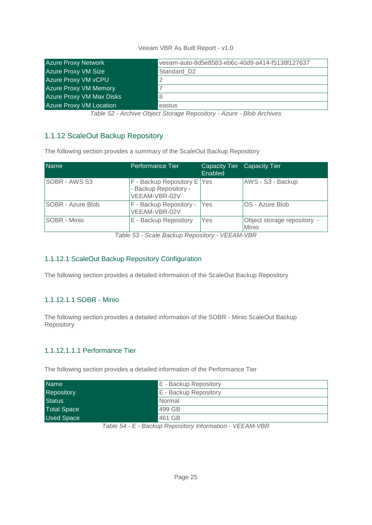| <b>Azure Proxy Network</b>      | veeam-auto-8d5e8583-eb6c-40d9-a414-f5138f127637 |
|---------------------------------|-------------------------------------------------|
| <b>Azure Proxy VM Size</b>      | Standard D2                                     |
| <b>Azure Proxy VM vCPU</b>      | 2                                               |
| <b>Azure Proxy VM Memory</b>    |                                                 |
| <b>Azure Proxy VM Max Disks</b> | 8                                               |
| <b>Azure Proxy VM Location</b>  | eastus                                          |

*Table 52 - Archive Object Storage Repository - Azure - Blob Archives*

## <span id="page-24-0"></span>1.1.12 ScaleOut Backup Repository

The following section provides a summary of the ScaleOut Backup Repository

| <b>Name</b>       | Performance Tier                                                      | Capacity Tier Capacity Tier<br>Enabled |                                      |
|-------------------|-----------------------------------------------------------------------|----------------------------------------|--------------------------------------|
| SOBR - AWS S3     | F - Backup Repository E Yes<br>- Backup Repository -<br>VEEAM-VBR-02V |                                        | AWS - S3 - Backup                    |
| SOBR - Azure Blob | F - Backup Repository -<br>VEEAM-VBR-02V                              | Yes                                    | OS - Azure Blob                      |
| SOBR - Minio      | E - Backup Repository                                                 | Yes                                    | Object storage repository -<br>Minio |

*Table 53 - Scale Backup Repository - VEEAM-VBR*

## <span id="page-24-1"></span>1.1.12.1 ScaleOut Backup Repository Configuration

The following section provides a detailed information of the ScaleOut Backup Repository

#### <span id="page-24-2"></span>1.1.12.1.1 SOBR - Minio

The following section provides a detailed information of the SOBR - Minio ScaleOut Backup Repository

#### <span id="page-24-3"></span>1.1.12.1.1.1 Performance Tier

The following section provides a detailed information of the Performance Tier

| <b>Name</b>        | E - Backup Repository |
|--------------------|-----------------------|
| Repository         | E - Backup Repository |
| <b>Status</b>      | Normal                |
| <b>Total Space</b> | 499 GB                |
| <b>Used Space</b>  | 461 GB                |

*Table 54 - E - Backup Repository Information - VEEAM-VBR*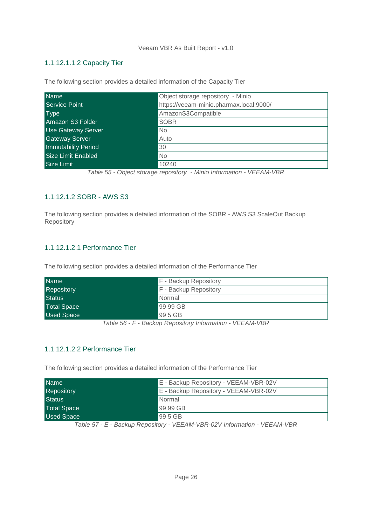#### <span id="page-25-0"></span>1.1.12.1.1.2 Capacity Tier

The following section provides a detailed information of the Capacity Tier

| <b>Name</b>                | Object storage repository - Minio       |
|----------------------------|-----------------------------------------|
| <b>Service Point</b>       | https://veeam-minio.pharmax.local:9000/ |
| <b>Type</b>                | AmazonS3Compatible                      |
| Amazon S3 Folder           | <b>SOBR</b>                             |
| <b>Use Gateway Server</b>  | N <sub>o</sub>                          |
| <b>Gateway Server</b>      | Auto                                    |
| <b>Immutability Period</b> | 30                                      |
| <b>Size Limit Enabled</b>  | N <sub>o</sub>                          |
| Size Limit                 | 10240                                   |

#### <span id="page-25-1"></span>1.1.12.1.2 SOBR - AWS S3

The following section provides a detailed information of the SOBR - AWS S3 ScaleOut Backup Repository

#### <span id="page-25-2"></span>1.1.12.1.2.1 Performance Tier

The following section provides a detailed information of the Performance Tier

| <b>Name</b>        | F - Backup Repository        |
|--------------------|------------------------------|
| Repository         | <b>F</b> - Backup Repository |
| <b>Status</b>      | <b>Normal</b>                |
| <b>Total Space</b> | 99 99 GB                     |
| <b>Used Space</b>  | 99 5 GB                      |

*Table 56 - F - Backup Repository Information - VEEAM-VBR*

#### <span id="page-25-3"></span>1.1.12.1.2.2 Performance Tier

The following section provides a detailed information of the Performance Tier

| <b>Name</b>        | E - Backup Repository - VEEAM-VBR-02V |
|--------------------|---------------------------------------|
| <b>Repository</b>  | E - Backup Repository - VEEAM-VBR-02V |
| <b>Status</b>      | Normal                                |
| <b>Total Space</b> | 99 99 GB                              |
| <b>Used Space</b>  | 99 5 GB                               |

*Table 57 - E - Backup Repository - VEEAM-VBR-02V Information - VEEAM-VBR*

*Table 55 - Object storage repository - Minio Information - VEEAM-VBR*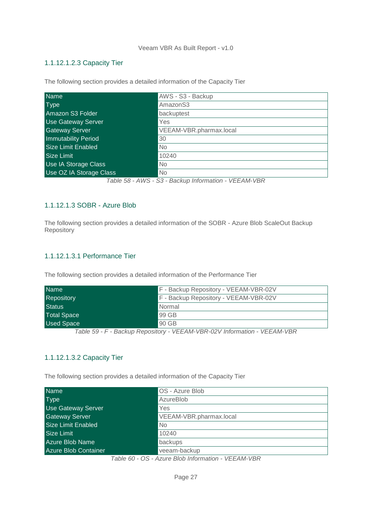#### <span id="page-26-0"></span>1.1.12.1.2.3 Capacity Tier

Name AWS - S3 - Backup Type **AmazonS3** AmazonS3 **Amazon S3 Folder** backuptest Use Gateway Server **Yes** Gateway Server VEEAM-VBR.pharmax.local **Immutability Period** 30 Size Limit Enabled No **Size Limit** 10240 Use IA Storage Class No Use OZ IA Storage Class No *Table 58 - AWS - S3 - Backup Information - VEEAM-VBR*

The following section provides a detailed information of the Capacity Tier

#### <span id="page-26-1"></span>1.1.12.1.3 SOBR - Azure Blob

The following section provides a detailed information of the SOBR - Azure Blob ScaleOut Backup Repository

#### <span id="page-26-2"></span>1.1.12.1.3.1 Performance Tier

The following section provides a detailed information of the Performance Tier

| <b>Name</b>        | F - Backup Repository - VEEAM-VBR-02V |
|--------------------|---------------------------------------|
| <b>Repository</b>  | F - Backup Repository - VEEAM-VBR-02V |
| <b>Status</b>      | Normal                                |
| <b>Total Space</b> | 99 GB                                 |
| <b>Used Space</b>  | 90 GB                                 |

*Table 59 - F - Backup Repository - VEEAM-VBR-02V Information - VEEAM-VBR*

#### <span id="page-26-3"></span>1.1.12.1.3.2 Capacity Tier

The following section provides a detailed information of the Capacity Tier

| <b>Name</b>                 | OS - Azure Blob         |
|-----------------------------|-------------------------|
| <b>Type</b>                 | AzureBlob               |
| Use Gateway Server          | Yes                     |
| <b>Gateway Server</b>       | VEEAM-VBR.pharmax.local |
| <b>Size Limit Enabled</b>   | <b>No</b>               |
| Size Limit                  | 10240                   |
| Azure Blob Name             | backups                 |
| <b>Azure Blob Container</b> | veeam-backup            |

*Table 60 - OS - Azure Blob Information - VEEAM-VBR*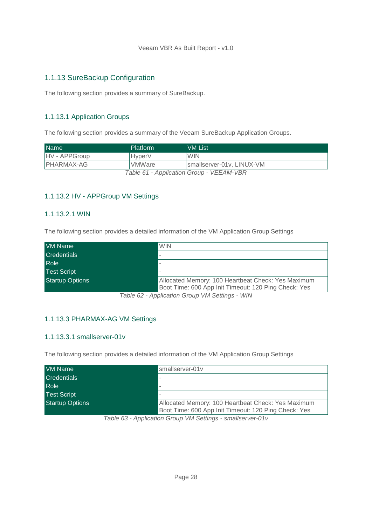## <span id="page-27-0"></span>1.1.13 SureBackup Configuration

The following section provides a summary of SureBackup.

## <span id="page-27-1"></span>1.1.13.1 Application Groups

The following section provides a summary of the Veeam SureBackup Application Groups.

| <b>Name</b>                              | Platform           | VM List                    |
|------------------------------------------|--------------------|----------------------------|
| HV - APPGroup                            | Hyper <sub>V</sub> | <b>WIN</b>                 |
| IPHARMAX-AG                              | l VMWare           | Ismallserver-01v. LINUX-VM |
| Table 61 - Application Group - VEEAM-VBR |                    |                            |

#### <span id="page-27-2"></span>1.1.13.2 HV - APPGroup VM Settings

#### <span id="page-27-3"></span>1.1.13.2.1 WIN

The following section provides a detailed information of the VM Application Group Settings

| VM Name                | <b>WIN</b>                                                                                                 |
|------------------------|------------------------------------------------------------------------------------------------------------|
| <b>Credentials</b>     |                                                                                                            |
| Role                   |                                                                                                            |
| <b>Test Script</b>     |                                                                                                            |
| <b>Startup Options</b> | Allocated Memory: 100 Heartbeat Check: Yes Maximum<br>Boot Time: 600 App Init Timeout: 120 Ping Check: Yes |

*Table 62 - Application Group VM Settings - WIN*

#### <span id="page-27-4"></span>1.1.13.3 PHARMAX-AG VM Settings

#### <span id="page-27-5"></span>1.1.13.3.1 smallserver-01v

The following section provides a detailed information of the VM Application Group Settings

| <b>VM Name</b>         | smallserver-01y                                                                                            |
|------------------------|------------------------------------------------------------------------------------------------------------|
| <b>Credentials</b>     |                                                                                                            |
| Role                   |                                                                                                            |
| <b>Test Script</b>     |                                                                                                            |
| <b>Startup Options</b> | Allocated Memory: 100 Heartbeat Check: Yes Maximum<br>Boot Time: 600 App Init Timeout: 120 Ping Check: Yes |

*Table 63 - Application Group VM Settings - smallserver-01v*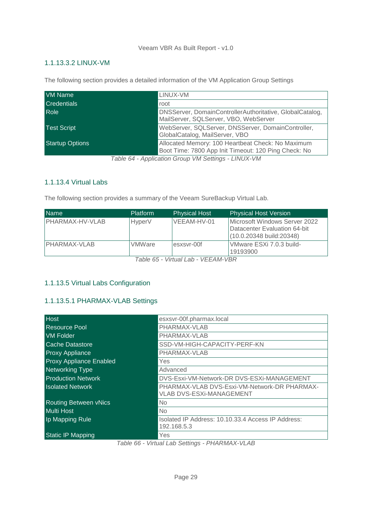#### <span id="page-28-0"></span>1.1.13.3.2 LINUX-VM

The following section provides a detailed information of the VM Application Group Settings

| VM Name                | LINUX-VM                                                                                                  |
|------------------------|-----------------------------------------------------------------------------------------------------------|
| <b>Credentials</b>     | root                                                                                                      |
| <b>Role</b>            | DNSServer, DomainControllerAuthoritative, GlobalCatalog,<br>MailServer, SQLServer, VBO, WebServer         |
| <b>Test Script</b>     | WebServer, SQLServer, DNSServer, DomainController,<br>GlobalCatalog, MailServer, VBO                      |
| <b>Startup Options</b> | Allocated Memory: 100 Heartbeat Check: No Maximum<br>Boot Time: 7800 App Init Timeout: 120 Ping Check: No |
|                        | Table CA Application Crown VM Cattings I INHIV VM                                                         |

*Table 64 - Application Group VM Settings - LINUX-VM*

#### <span id="page-28-1"></span>1.1.13.4 Virtual Labs

The following section provides a summary of the Veeam SureBackup Virtual Lab.

| <b>Name</b>            | <b>Platform</b> | <b>Physical Host</b>                                                                                                                                                                                                                        | <b>Physical Host Version</b>                                                               |
|------------------------|-----------------|---------------------------------------------------------------------------------------------------------------------------------------------------------------------------------------------------------------------------------------------|--------------------------------------------------------------------------------------------|
| <b>PHARMAX-HV-VLAB</b> | <b>HyperV</b>   | VEEAM-HV-01                                                                                                                                                                                                                                 | Microsoft Windows Server 2022<br>Datacenter Evaluation 64-bit<br>(10.0.20348 build: 20348) |
| IPHARMAX-VLAB          | <b>VMWare</b>   | esxsvr-00f<br>$T$ , $L$ , $R$ , $R$ , $L$ , $L$ , $L$ , $L$ , $L$ , $L$ , $L$ , $L$ , $L$ , $R$ , $R$ , $R$ , $R$ , $R$ , $R$ , $R$ , $R$ , $R$ , $R$ , $R$ , $R$ , $R$ , $R$ , $R$ , $R$ , $R$ , $R$ , $R$ , $R$ , $R$ , $R$ , $R$ , $R$ , | VMware ESXi 7.0.3 build-<br>19193900                                                       |

*Table 65 - Virtual Lab - VEEAM-VBR*

#### <span id="page-28-2"></span>1.1.13.5 Virtual Labs Configuration

#### <span id="page-28-3"></span>1.1.13.5.1 PHARMAX-VLAB Settings

| <b>Host</b>                    | esxsvr-00f.pharmax.local                                                        |
|--------------------------------|---------------------------------------------------------------------------------|
| <b>Resource Pool</b>           | PHARMAX-VLAB                                                                    |
| <b>VM Folder</b>               | PHARMAX-VLAB                                                                    |
| <b>Cache Datastore</b>         | SSD-VM-HIGH-CAPACITY-PERF-KN                                                    |
| <b>Proxy Appliance</b>         | PHARMAX-VLAB                                                                    |
| <b>Proxy Appliance Enabled</b> | Yes                                                                             |
| <b>Networking Type</b>         | Advanced                                                                        |
| <b>Production Network</b>      | DVS-Esxi-VM-Network-DR DVS-ESXi-MANAGEMENT                                      |
| <b>Isolated Network</b>        | PHARMAX-VLAB DVS-Esxi-VM-Network-DR PHARMAX-<br><b>VLAB DVS-ESXI-MANAGEMENT</b> |
| <b>Routing Between vNics</b>   | No.                                                                             |
| <b>Multi Host</b>              | N <sub>o</sub>                                                                  |
| Ip Mapping Rule                | Isolated IP Address: 10.10.33.4 Access IP Address:<br>192.168.5.3               |
| <b>Static IP Mapping</b>       | Yes<br>$\cdots$ $\sim$ $\cdots$<br>$\sum_{i=1}^{n}$                             |

*Table 66 - Virtual Lab Settings - PHARMAX-VLAB*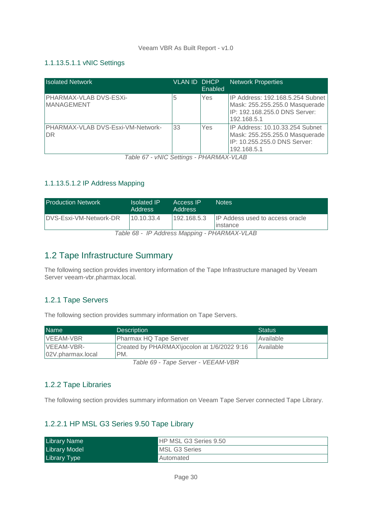#### <span id="page-29-0"></span>1.1.13.5.1.1 vNIC Settings

| <b>Isolated Network</b>                        | <b>VLAN ID DHCP</b> | Enabled | <b>Network Properties</b>                                                                                          |
|------------------------------------------------|---------------------|---------|--------------------------------------------------------------------------------------------------------------------|
| PHARMAX-VLAB DVS-ESXi-<br><b>MANAGEMENT</b>    | 5                   | Yes     | IP Address: 192.168.5.254 Subnet<br>Mask: 255.255.255.0 Masquerade<br>IP: 192.168.255.0 DNS Server:<br>192.168.5.1 |
| PHARMAX-VLAB DVS-Esxi-VM-Network-<br><b>DR</b> | 33                  | Yes     | IP Address: 10.10.33.254 Subnet<br>Mask: 255.255.255.0 Masquerade<br>IP: 10.255.255.0 DNS Server:<br>192.168.5.1   |

*Table 67 - vNIC Settings - PHARMAX-VLAB*

#### <span id="page-29-1"></span>1.1.13.5.1.2 IP Address Mapping

| <b>Production Network</b>                    | <b>Isolated IP</b><br><b>Address</b> | Access IP<br><b>Address</b> | <b>Notes</b>                                        |  |
|----------------------------------------------|--------------------------------------|-----------------------------|-----------------------------------------------------|--|
| DVS-Esxi-VM-Network-DR                       | 10.10.33.4                           | 192.168.5.3                 | <b>IP Addess used to access oracle</b><br>linstance |  |
| Table 68 - IP Address Mapping - PHARMAX-VLAB |                                      |                             |                                                     |  |

<span id="page-29-2"></span>1.2 Tape Infrastructure Summary

The following section provides inventory information of the Tape Infrastructure managed by Veeam Server veeam-vbr.pharmax.local.

#### <span id="page-29-3"></span>1.2.1 Tape Servers

The following section provides summary information on Tape Servers.

| <b>Name</b>       | <b>Description</b>                                                                    | Status    |
|-------------------|---------------------------------------------------------------------------------------|-----------|
| VEEAM-VBR         | <b>Pharmax HQ Tape Server</b>                                                         | Available |
| VEEAM-VBR-        | Created by PHARMAX\jocolon at 1/6/2022 9:16                                           | Available |
|                   | PM.                                                                                   |           |
| 02V.pharmax.local | $T \cup \cup \cup \cap T$ , $\cap \cup \cup \cup \cup \cup T$ , $\cup \cup \cap \cap$ |           |

*Table 69 - Tape Server - VEEAM-VBR*

#### <span id="page-29-4"></span>1.2.2 Tape Libraries

The following section provides summary information on Veeam Tape Server connected Tape Library.

#### <span id="page-29-5"></span>1.2.2.1 HP MSL G3 Series 9.50 Tape Library

| <b>Library Name</b>  | <b>HP MSL G3 Series 9.50</b> |
|----------------------|------------------------------|
| <b>Library Model</b> | <b>MSL G3 Series</b>         |
| <b>Library Type</b>  | Automated                    |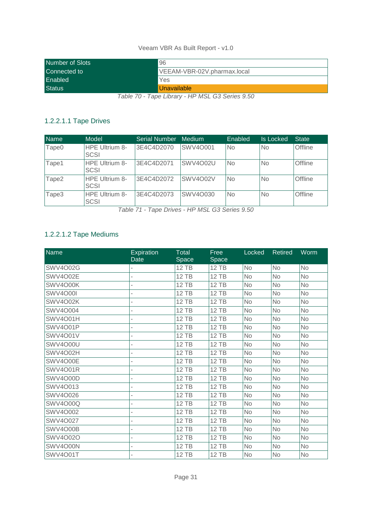| Number of Slots | 96                          |
|-----------------|-----------------------------|
| Connected to    | VEEAM-VBR-02V.pharmax.local |
| Enabled         | Yes                         |
| <b>Status</b>   | Unavailable                 |

*Table 70 - Tape Library - HP MSL G3 Series 9.50*

## <span id="page-30-0"></span>1.2.2.1.1 Tape Drives

| <b>Name</b>       | Model                                | <b>Serial Number</b> | Medium          | Enabled   | <b>Is Locked</b> | <b>State</b> |
|-------------------|--------------------------------------|----------------------|-----------------|-----------|------------------|--------------|
| Tape <sub>0</sub> | <b>HPE Ultrium 8-</b><br>SCSI        | 3E4C4D2070           | SWV4O001        | <b>No</b> | <b>No</b>        | Offline      |
| Tape1             | <b>HPE Ultrium 8-</b><br><b>SCSI</b> | 3E4C4D2071           | <b>SWV4O02U</b> | No        | <b>No</b>        | Offline      |
| Tape2             | <b>HPE Ultrium 8-</b><br><b>SCSI</b> | 3E4C4D2072           | <b>SWV4O02V</b> | <b>No</b> | <b>No</b>        | Offline      |
| Tape3             | <b>HPE Ultrium 8-</b><br><b>SCSI</b> | 3E4C4D2073           | SWV4O030        | No        | <b>No</b>        | Offline      |

*Table 71 - Tape Drives - HP MSL G3 Series 9.50*

## <span id="page-30-1"></span>1.2.2.1.2 Tape Mediums

| <b>Name</b>     | <b>Expiration</b><br><b>Date</b> | <b>Total</b><br>Space | Free<br>Space | Locked    | <b>Retired</b> | Worm      |
|-----------------|----------------------------------|-----------------------|---------------|-----------|----------------|-----------|
| <b>SWV4O02G</b> |                                  | <b>12 TB</b>          | 12 TB         | <b>No</b> | <b>No</b>      | <b>No</b> |
| <b>SWV4O02E</b> | ä,                               | <b>12 TB</b>          | <b>12 TB</b>  | No        | <b>No</b>      | <b>No</b> |
| SWV4O00K        |                                  | 12 TB                 | <b>12 TB</b>  | <b>No</b> | <b>No</b>      | No        |
| <b>SWV4O00I</b> | ÷                                | <b>12 TB</b>          | <b>12 TB</b>  | No        | <b>No</b>      | <b>No</b> |
| SWV4O02K        |                                  | <b>12 TB</b>          | <b>12 TB</b>  | <b>No</b> | <b>No</b>      | No        |
| <b>SWV4O004</b> | ä,                               | 12 TB                 | <b>12 TB</b>  | <b>No</b> | <b>No</b>      | <b>No</b> |
| SWV4O01H        |                                  | <b>12 TB</b>          | <b>12 TB</b>  | <b>No</b> | <b>No</b>      | <b>No</b> |
| <b>SWV4O01P</b> |                                  | <b>12 TB</b>          | <b>12 TB</b>  | No        | No             | <b>No</b> |
| <b>SWV4O01V</b> |                                  | <b>12 TB</b>          | <b>12 TB</b>  | <b>No</b> | No             | <b>No</b> |
| <b>SWV4O00U</b> |                                  | 12 TB                 | <b>12 TB</b>  | <b>No</b> | <b>No</b>      | <b>No</b> |
| SWV4O02H        |                                  | <b>12 TB</b>          | <b>12 TB</b>  | <b>No</b> | <b>No</b>      | <b>No</b> |
| SWV4O00E        |                                  | <b>12 TB</b>          | <b>12 TB</b>  | <b>No</b> | <b>No</b>      | <b>No</b> |
| <b>SWV4O01R</b> |                                  | <b>12 TB</b>          | <b>12 TB</b>  | <b>No</b> | <b>No</b>      | <b>No</b> |
| <b>SWV4O00D</b> |                                  | <b>12 TB</b>          | <b>12 TB</b>  | <b>No</b> | <b>No</b>      | <b>No</b> |
| SWV4O013        |                                  | 12 TB                 | <b>12 TB</b>  | <b>No</b> | <b>No</b>      | <b>No</b> |
| SWV4O026        |                                  | <b>12 TB</b>          | <b>12 TB</b>  | <b>No</b> | <b>No</b>      | <b>No</b> |
| <b>SWV4O00Q</b> |                                  | <b>12 TB</b>          | <b>12 TB</b>  | <b>No</b> | No             | <b>No</b> |
| SWV4O002        |                                  | <b>12 TB</b>          | <b>12 TB</b>  | <b>No</b> | <b>No</b>      | <b>No</b> |
| <b>SWV4O027</b> |                                  | <b>12 TB</b>          | <b>12 TB</b>  | <b>No</b> | <b>No</b>      | <b>No</b> |
| SWV4O00B        |                                  | <b>12 TB</b>          | <b>12 TB</b>  | <b>No</b> | <b>No</b>      | <b>No</b> |
| <b>SWV4O02O</b> |                                  | <b>12 TB</b>          | <b>12 TB</b>  | <b>No</b> | <b>No</b>      | <b>No</b> |
| SWV4O00N        |                                  | <b>12 TB</b>          | <b>12 TB</b>  | <b>No</b> | <b>No</b>      | <b>No</b> |
| <b>SWV4O01T</b> |                                  | <b>12 TB</b>          | 12 TB         | No        | <b>No</b>      | No        |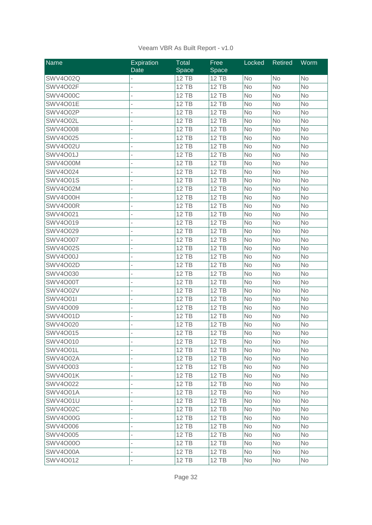| Name            | <b>Expiration</b> | Total        | Free         | Locked    | <b>Retired</b> | Worm      |
|-----------------|-------------------|--------------|--------------|-----------|----------------|-----------|
|                 | Date              | Space        | Space        |           |                |           |
| <b>SWV4O02Q</b> |                   | <b>12 TB</b> | <b>12 TB</b> | <b>No</b> | No             | <b>No</b> |
| SWV4O02F        |                   | <b>12 TB</b> | 12 TB        | <b>No</b> | <b>No</b>      | <b>No</b> |
| <b>SWV4O00C</b> |                   | <b>12 TB</b> | <b>12 TB</b> | <b>No</b> | No             | <b>No</b> |
| <b>SWV4O01E</b> |                   | <b>12 TB</b> | <b>12 TB</b> | <b>No</b> | <b>No</b>      | <b>No</b> |
| <b>SWV4O02P</b> |                   | <b>12 TB</b> | <b>12 TB</b> | <b>No</b> | <b>No</b>      | <b>No</b> |
| SWV4O02L        |                   | <b>12 TB</b> | <b>12 TB</b> | <b>No</b> | No             | No        |
| <b>SWV4O008</b> |                   | <b>12 TB</b> | <b>12 TB</b> | <b>No</b> | No             | <b>No</b> |
| <b>SWV4O025</b> |                   | <b>12 TB</b> | <b>12 TB</b> | <b>No</b> | <b>No</b>      | <b>No</b> |
| <b>SWV4O02U</b> |                   | <b>12 TB</b> | <b>12 TB</b> | <b>No</b> | No             | <b>No</b> |
| <b>SWV4O01J</b> |                   | 12 TB        | 12 TB        | No        | No             | No        |
| SWV4O00M        |                   | <b>12 TB</b> | <b>12 TB</b> | <b>No</b> | No             | No        |
| SWV4O024        |                   | <b>12 TB</b> | <b>12 TB</b> | <b>No</b> | <b>No</b>      | No        |
| <b>SWV4O01S</b> |                   | <b>12 TB</b> | <b>12 TB</b> | No        | No             | No        |
| <b>SWV4O02M</b> |                   | <b>12 TB</b> | <b>12 TB</b> | No        | No             | No        |
| SWV4O00H        |                   | <b>12 TB</b> | <b>12 TB</b> | No        | No             | No        |
| SWV4O00R        |                   | <b>12 TB</b> | <b>12 TB</b> | No        | <b>No</b>      | No        |
| SWV4O021        |                   | <b>12 TB</b> | <b>12 TB</b> | No        | No             | No        |
| SWV4O019        |                   | <b>12 TB</b> | <b>12 TB</b> | <b>No</b> | No             | <b>No</b> |
| SWV4O029        |                   | <b>12 TB</b> | <b>12 TB</b> | <b>No</b> | <b>No</b>      | <b>No</b> |
| <b>SWV4O007</b> |                   | <b>12 TB</b> | <b>12 TB</b> | <b>No</b> | <b>No</b>      | <b>No</b> |
| <b>SWV4O02S</b> |                   | <b>12 TB</b> | <b>12 TB</b> | <b>No</b> | No             | No        |
| <b>SWV4O00J</b> |                   | <b>12 TB</b> | <b>12 TB</b> | <b>No</b> | <b>No</b>      | <b>No</b> |
| <b>SWV4O02D</b> |                   | <b>12 TB</b> | <b>12 TB</b> | <b>No</b> | <b>No</b>      | <b>No</b> |
| SWV4O030        |                   | <b>12 TB</b> | <b>12 TB</b> | No        | No             | No        |
| SWV4O00T        |                   | <b>12 TB</b> | <b>12 TB</b> | No        | No             | No        |
| <b>SWV4O02V</b> |                   | <b>12 TB</b> | <b>12 TB</b> | <b>No</b> | No             | No        |
| <b>SWV4O01I</b> |                   | <b>12 TB</b> | <b>12 TB</b> | No        | No             | No        |
| SWV4O009        |                   | <b>12 TB</b> | <b>12 TB</b> | No        | No             | No        |
| <b>SWV4O01D</b> |                   | <b>12 TB</b> | <b>12 TB</b> | No        | No             | No        |
| SWV4O020        |                   | <b>12 TB</b> | <b>12 TB</b> | No        | No             | No        |
| SWV4O015        |                   | <b>12 TB</b> | <b>12 TB</b> | No        | No             | No        |
| SWV4O010        |                   | 12 TB        | <b>12 TB</b> | No        | No             | No        |
| SWV4O01L        |                   | <b>12 TB</b> | 12 TB        | <b>No</b> | No             | <b>No</b> |
| <b>SWV4O02A</b> |                   | 12 TB        | <b>12 TB</b> | No.       | <b>No</b>      | <b>No</b> |
| SWV4O003        |                   | <b>12 TB</b> | 12 TB        | No        | No             | <b>No</b> |
| <b>SWV4O01K</b> |                   | 12 TB        | 12 TB        | No        | No             | No.       |
| SWV4O022        |                   | <b>12 TB</b> | <b>12 TB</b> | No.       | No             | No        |
| <b>SWV4O01A</b> |                   | <b>12 TB</b> | 12 TB        | <b>No</b> | <b>No</b>      | No.       |
| <b>SWV4O01U</b> |                   | <b>12 TB</b> | <b>12 TB</b> | No        | No             | <b>No</b> |
| <b>SWV4O02C</b> |                   | 12 TB        | 12 TB        | No        | No             | No        |
| <b>SWV4O00G</b> |                   | <b>12 TB</b> | 12 TB        | No.       | <b>No</b>      | No.       |
| SWV4O006        |                   | <b>12 TB</b> | 12 TB        | No        | No             | <b>No</b> |
| SWV4O005        |                   | <b>12 TB</b> | 12 TB        | No        | No             | No        |
| <b>SWV4O00O</b> |                   | 12 TB        | 12 TB        | No        | No             | No        |
| SWV4O00A        |                   | 12 TB        | 12 TB        | <b>No</b> | No             | <b>No</b> |
| SWV4O012        |                   | <b>12 TB</b> | 12 TB        | No        | No             | No        |
|                 |                   |              |              |           |                |           |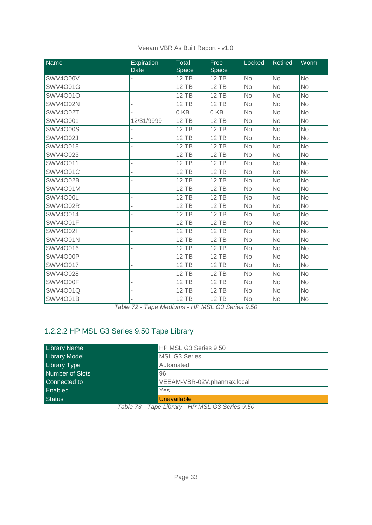| <b>Name</b>     | <b>Expiration</b><br>Date | Total<br>Space | Free<br>Space | Locked    | <b>Retired</b> | Worm      |
|-----------------|---------------------------|----------------|---------------|-----------|----------------|-----------|
| <b>SWV4O00V</b> |                           | <b>12 TB</b>   | <b>12 TB</b>  | <b>No</b> | <b>No</b>      | <b>No</b> |
| <b>SWV4O01G</b> |                           | <b>12 TB</b>   | <b>12 TB</b>  | <b>No</b> | <b>No</b>      | <b>No</b> |
| <b>SWV4O01O</b> |                           | <b>12 TB</b>   | <b>12 TB</b>  | <b>No</b> | <b>No</b>      | <b>No</b> |
| <b>SWV4O02N</b> |                           | <b>12 TB</b>   | <b>12 TB</b>  | <b>No</b> | <b>No</b>      | <b>No</b> |
| <b>SWV4O02T</b> |                           | 0KB            | 0KB           | <b>No</b> | <b>No</b>      | <b>No</b> |
| <b>SWV4O001</b> | 12/31/9999                | <b>12 TB</b>   | <b>12 TB</b>  | <b>No</b> | No             | <b>No</b> |
| <b>SWV4O00S</b> |                           | <b>12 TB</b>   | <b>12 TB</b>  | <b>No</b> | <b>No</b>      | <b>No</b> |
| <b>SWV4O02J</b> |                           | <b>12 TB</b>   | <b>12 TB</b>  | <b>No</b> | No             | <b>No</b> |
| SWV4O018        |                           | <b>12 TB</b>   | <b>12 TB</b>  | <b>No</b> | <b>No</b>      | <b>No</b> |
| SWV4O023        |                           | <b>12 TB</b>   | <b>12 TB</b>  | <b>No</b> | <b>No</b>      | <b>No</b> |
| SWV4O011        |                           | <b>12 TB</b>   | <b>12 TB</b>  | <b>No</b> | <b>No</b>      | <b>No</b> |
| <b>SWV4O01C</b> |                           | <b>12 TB</b>   | <b>12 TB</b>  | <b>No</b> | <b>No</b>      | <b>No</b> |
| <b>SWV4O02B</b> |                           | 12 TB          | 12 TB         | <b>No</b> | No             | <b>No</b> |
| <b>SWV4O01M</b> |                           | <b>12 TB</b>   | <b>12 TB</b>  | <b>No</b> | <b>No</b>      | <b>No</b> |
| SWV4O00L        |                           | <b>12 TB</b>   | <b>12 TB</b>  | <b>No</b> | <b>No</b>      | <b>No</b> |
| SWV4O02R        |                           | <b>12 TB</b>   | <b>12 TB</b>  | No        | <b>No</b>      | <b>No</b> |
| SWV4O014        |                           | <b>12 TB</b>   | <b>12 TB</b>  | <b>No</b> | <b>No</b>      | <b>No</b> |
| SWV4O01F        |                           | <b>12 TB</b>   | <b>12 TB</b>  | <b>No</b> | <b>No</b>      | <b>No</b> |
| <b>SWV4O02I</b> |                           | <b>12 TB</b>   | <b>12 TB</b>  | No        | No             | No        |
| <b>SWV4O01N</b> |                           | <b>12 TB</b>   | <b>12 TB</b>  | <b>No</b> | <b>No</b>      | <b>No</b> |
| SWV4O016        |                           | <b>12 TB</b>   | <b>12 TB</b>  | <b>No</b> | <b>No</b>      | <b>No</b> |
| SWV4O00P        |                           | <b>12 TB</b>   | <b>12 TB</b>  | <b>No</b> | <b>No</b>      | <b>No</b> |
| <b>SWV4O017</b> |                           | <b>12 TB</b>   | <b>12 TB</b>  | <b>No</b> | <b>No</b>      | <b>No</b> |
| <b>SWV4O028</b> |                           | <b>12 TB</b>   | <b>12 TB</b>  | <b>No</b> | <b>No</b>      | <b>No</b> |
| SWV4O00F        |                           | <b>12 TB</b>   | <b>12 TB</b>  | <b>No</b> | <b>No</b>      | <b>No</b> |
| <b>SWV4O01Q</b> |                           | <b>12 TB</b>   | <b>12 TB</b>  | No        | No             | <b>No</b> |
| <b>SWV4O01B</b> |                           | <b>12 TB</b>   | <b>12 TB</b>  | No        | No             | No        |

*Table 72 - Tape Mediums - HP MSL G3 Series 9.50*

## <span id="page-32-0"></span>1.2.2.2 HP MSL G3 Series 9.50 Tape Library

| <b>Library Name</b>    | HP MSL G3 Series 9.50       |
|------------------------|-----------------------------|
| <b>Library Model</b>   | <b>MSL G3 Series</b>        |
| <b>Library Type</b>    | Automated                   |
| <b>Number of Slots</b> | 96                          |
| Connected to           | VEEAM-VBR-02V.pharmax.local |
| Enabled                | Yes                         |
| <b>Status</b>          | <b>Unavailable</b>          |

*Table 73 - Tape Library - HP MSL G3 Series 9.50*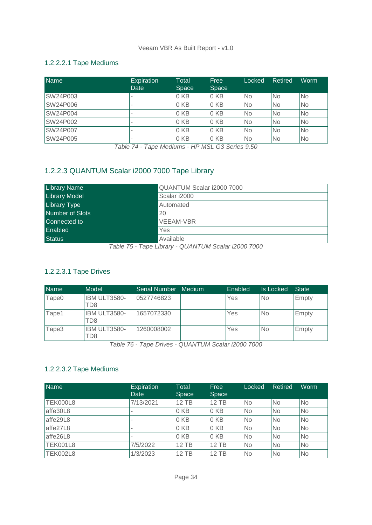## <span id="page-33-0"></span>1.2.2.2.1 Tape Mediums

| <b>Name</b>     | <b>Expiration</b><br>Date | Total<br>Space  | Free<br>Space   | Locked | Retired   | Worm      |
|-----------------|---------------------------|-----------------|-----------------|--------|-----------|-----------|
| SW24P003        | -                         | 0 <sub>KB</sub> | 0 <sub>KB</sub> | No.    | <b>No</b> | <b>No</b> |
| <b>SW24P006</b> | -                         | 0 <sub>KB</sub> | 0 <sub>KB</sub> | No.    | <b>No</b> | <b>No</b> |
| <b>SW24P004</b> | $\overline{\phantom{a}}$  | 0 <sub>KB</sub> | 0 KB            | No.    | <b>No</b> | <b>No</b> |
| SW24P002        | $\overline{\phantom{a}}$  | 0 <sub>KB</sub> | 0 KB            | No.    | <b>No</b> | <b>No</b> |
| SW24P007        | -                         | 0 KB            | 0 KB            | No     | <b>No</b> | <b>No</b> |
| SW24P005        | $\overline{\phantom{a}}$  | 0 KB            | 0 <sub>KB</sub> | No     | <b>No</b> | <b>No</b> |

*Table 74 - Tape Mediums - HP MSL G3 Series 9.50*

## <span id="page-33-1"></span>1.2.2.3 QUANTUM Scalar i2000 7000 Tape Library

| <b>Library Name</b>  | QUANTUM Scalar i2000 7000                |
|----------------------|------------------------------------------|
| <b>Library Model</b> | Scalar i2000                             |
| <b>Library Type</b>  | Automated                                |
| Number of Slots      | 20                                       |
| Connected to         | <b>VEEAM-VBR</b>                         |
| Enabled              | Yes                                      |
| <b>Status</b>        | Available<br>$\cdots$<br>_______________ |

*Table 75 - Tape Library - QUANTUM Scalar i2000 7000*

#### <span id="page-33-2"></span>1.2.2.3.1 Tape Drives

| <b>Name</b>       | Model               | Serial Number | Medium | Enabled | Is Locked | <b>State</b> |
|-------------------|---------------------|---------------|--------|---------|-----------|--------------|
| Tape <sub>0</sub> | IBM ULT3580-<br>TD8 | 0527746823    |        | Yes     | No        | Empty        |
| Tape1             | IBM ULT3580-<br>TD8 | 1657072330    |        | Yes     | No        | Empty        |
| Tape3             | IBM ULT3580-<br>TD8 | 1260008002    |        | Yes     | No        | Empty        |

*Table 76 - Tape Drives - QUANTUM Scalar i2000 7000*

## <span id="page-33-3"></span>1.2.2.3.2 Tape Mediums

| <b>Name</b>     | Expiration<br>Date | Total<br><b>Space</b> | Free<br><b>Space</b> | Locked    | Retired   | Worm      |
|-----------------|--------------------|-----------------------|----------------------|-----------|-----------|-----------|
| <b>TEK000L8</b> | 7/13/2021          | <b>12 TB</b>          | $12$ TB              | <b>No</b> | <b>No</b> | <b>No</b> |
| affe30L8        | ۰                  | 0 KB                  | 0 KB                 | No        | <b>No</b> | <b>No</b> |
| affe29L8        | ٠                  | 0 KB                  | 0 KB                 | No        | <b>No</b> | <b>No</b> |
| affe27L8        |                    | 0 KB                  | 0 KB                 | No        | <b>No</b> | <b>No</b> |
| affe26L8        | ۰                  | 0 KB                  | 0 KB                 | No        | <b>No</b> | <b>No</b> |
| <b>TEK001L8</b> | 7/5/2022           | <b>12 TB</b>          | $12$ TB              | No        | <b>No</b> | <b>No</b> |
| <b>TEK002L8</b> | 1/3/2023           | 12 TB                 | $12$ TB              | <b>No</b> | <b>No</b> | <b>No</b> |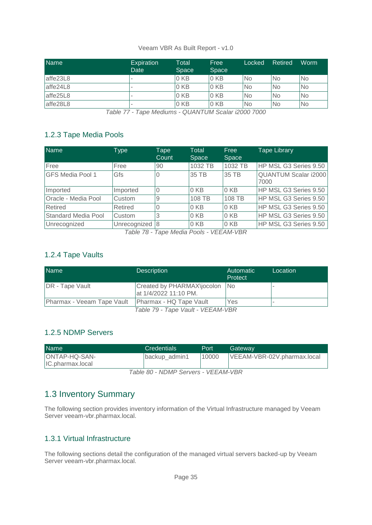| <b>Name</b> | <b>Expiration</b><br>Date | Total<br>Space  | Free<br>Space   | Locked    | Retired        | Worm      |
|-------------|---------------------------|-----------------|-----------------|-----------|----------------|-----------|
| affe23L8    | $\overline{\phantom{a}}$  | 0 KB            | 0 KB            | No        | <b>No</b>      | <b>No</b> |
| affe24L8    |                           | 0 <sub>KB</sub> | 0 <sub>KB</sub> | <b>No</b> | N <sub>o</sub> | <b>No</b> |
| affe25L8    | $\sim$                    | 0 <sub>KB</sub> | 0 KB            | No        | No             | <b>No</b> |
| affe28L8    |                           | 0 KB            | 0 KB            | No        | No             | No        |

*Table 77 - Tape Mediums - QUANTUM Scalar i2000 7000*

## <span id="page-34-0"></span>1.2.3 Tape Media Pools

| Name                    | Type           | Tape<br>Count | Total<br>Space  | Free<br>Space,  | <b>Tape Library</b>                 |
|-------------------------|----------------|---------------|-----------------|-----------------|-------------------------------------|
| Free                    | Free           | 90            | 1032 TB         | 1032 TB         | HP MSL G3 Series 9.50               |
| <b>GFS Media Pool 1</b> | Gfs            |               | 35 TB           | 35 TB           | <b>QUANTUM Scalar i2000</b><br>7000 |
| Imported                | Imported       |               | 0 <sub>KB</sub> | 0 <sub>KB</sub> | HP MSL G3 Series 9.50               |
| Oracle - Media Pool     | Custom         |               | 108 TB          | 108 TB          | HP MSL G3 Series 9.50               |
| <b>Retired</b>          | Retired        |               | 0 <sub>KB</sub> | 0 <sub>KB</sub> | HP MSL G3 Series 9.50               |
| Standard Media Pool     | Custom         | 3             | 0 KB            | 0 KB            | HP MSL G3 Series 9.50               |
| Unrecognized            | Unrecognized 8 |               | 0KB             | 0 <sub>KB</sub> | HP MSL G3 Series 9.50               |

*Table 78 - Tape Media Pools - VEEAM-VBR*

## <span id="page-34-1"></span>1.2.4 Tape Vaults

| <b>Name</b>                       | <b>Description</b>                                  | Automatic<br>Protect | Location |
|-----------------------------------|-----------------------------------------------------|----------------------|----------|
| <b>DR</b> - Tape Vault            | Created by PHARMAX\jocolon<br>at 1/4/2022 11:10 PM. | <b>No</b>            | $\sim$   |
| <b>Pharmax - Veeam Tape Vault</b> | Pharmax - HQ Tape Vault                             | Yes                  | $\sim$   |
|                                   | Table 79 - Tape Vault - VEEAM-VBR                   |                      |          |

## <span id="page-34-2"></span>1.2.5 NDMP Servers

| <b>Name</b>                       | <b>Credentials</b> | Port  | Gateway                     |
|-----------------------------------|--------------------|-------|-----------------------------|
| ONTAP-HQ-SAN-<br>IC.pharmax.local | backup_admin1      | 10000 | VEEAM-VBR-02V.pharmax.local |

*Table 80 - NDMP Servers - VEEAM-VBR*

## <span id="page-34-3"></span>1.3 Inventory Summary

The following section provides inventory information of the Virtual Infrastructure managed by Veeam Server veeam-vbr.pharmax.local.

## <span id="page-34-4"></span>1.3.1 Virtual Infrastructure

The following sections detail the configuration of the managed virtual servers backed-up by Veeam Server veeam-vbr.pharmax.local.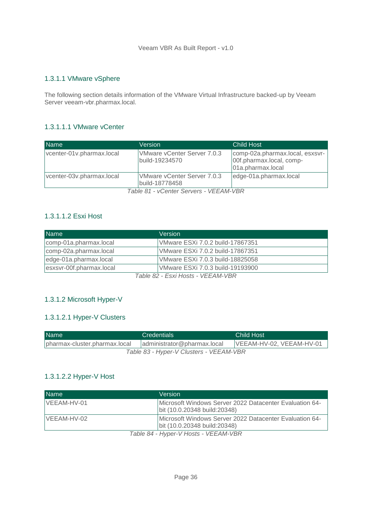#### <span id="page-35-0"></span>1.3.1.1 VMware vSphere

The following section details information of the VMware Virtual Infrastructure backed-up by Veeam Server veeam-vbr.pharmax.local.

#### <span id="page-35-1"></span>1.3.1.1.1 VMware vCenter

| <b>Name</b>               | <b>Version</b>                                | <b>Child Host</b>                                                                |
|---------------------------|-----------------------------------------------|----------------------------------------------------------------------------------|
| vcenter-01v.pharmax.local | VMware vCenter Server 7.0.3<br>build-19234570 | comp-02a.pharmax.local, esxsvr-<br>00f.pharmax.local, comp-<br>01a.pharmax.local |
| vcenter-03v.pharmax.local | VMware vCenter Server 7.0.3<br>build-18778458 | edge-01a.pharmax.local                                                           |

*Table 81 - vCenter Servers - VEEAM-VBR*

## <span id="page-35-2"></span>1.3.1.1.2 Esxi Host

| <b>Name</b>              | Version                           |
|--------------------------|-----------------------------------|
| comp-01a.pharmax.local   | VMware ESXi 7.0.2 build-17867351  |
| comp-02a.pharmax.local   | VMware ESXi 7.0.2 build-17867351  |
| edge-01a.pharmax.local   | VMware ESXi 7.0.3 build-18825058  |
| esxsvr-00f.pharmax.local | VMware ESXi 7.0.3 build-19193900  |
|                          | Table 82 - Esvi Hosts - VEEAM-VRD |

*Table 82 - Esxi Hosts - VEEAM-VBR*

#### <span id="page-35-3"></span>1.3.1.2 Microsoft Hyper-V

#### <span id="page-35-4"></span>1.3.1.2.1 Hyper-V Clusters

| <b>Name</b>                             | <b>Credentials</b>          | Child Host               |  |  |
|-----------------------------------------|-----------------------------|--------------------------|--|--|
| pharmax-cluster.pharmax.local           | administrator@pharmax.local | VEEAM-HV-02, VEEAM-HV-01 |  |  |
| Table 83 - Hyper-V Clusters - VEEAM-VBR |                             |                          |  |  |

#### <span id="page-35-5"></span>1.3.1.2.2 Hyper-V Host

| <b>Name</b> | Version                                                                                         |
|-------------|-------------------------------------------------------------------------------------------------|
| VEEAM-HV-01 | Microsoft Windows Server 2022 Datacenter Evaluation 64-<br>bit (10.0.20348 build: 20348)        |
| VEEAM-HV-02 | <b>IMicrosoft Windows Server 2022 Datacenter Evaluation 64-</b><br>bit (10.0.20348 build:20348) |
|             | Toble 01 Hyper V Hoote VEEAM VDD                                                                |

*Table 84 - Hyper-V Hosts - VEEAM-VBR*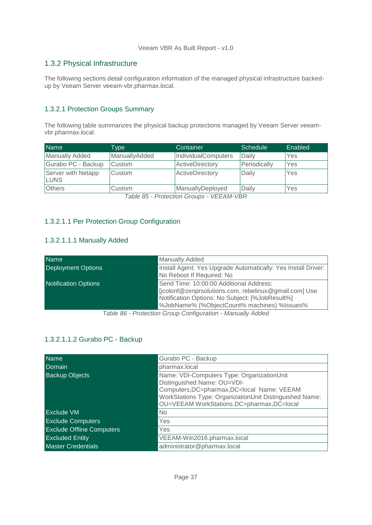## <span id="page-36-0"></span>1.3.2 Physical Infrastructure

The following sections detail configuration information of the managed physical infrastructure backedup by Veeam Server veeam-vbr.pharmax.local.

#### <span id="page-36-1"></span>1.3.2.1 Protection Groups Summary

The following table summarizes the physical backup protections managed by Veeam Server veeamvbr.pharmax.local.

| <b>Name</b>                       | Type          | Container           | Schedule     | Enabled |
|-----------------------------------|---------------|---------------------|--------------|---------|
| <b>Manually Added</b>             | ManuallyAdded | IndividualComputers | Daily        | Yes     |
| Gurabo PC - Backup                | <b>Custom</b> | ActiveDirectory     | Periodically | Yes     |
| Server with Netapp<br><b>LUNS</b> | Custom        | ActiveDirectory     | Daily        | Yes     |
| <b>Others</b>                     | Custom        | ManuallyDeployed    | Daily        | Yes     |

*Table 85 - Protection Groups - VEEAM-VBR*

#### <span id="page-36-2"></span>1.3.2.1.1 Per Protection Group Configuration

#### <span id="page-36-3"></span>1.3.2.1.1.1 Manually Added

| <b>Name</b>                 | <b>Manually Added</b>                                                                                                                                                                              |
|-----------------------------|----------------------------------------------------------------------------------------------------------------------------------------------------------------------------------------------------|
| <b>Deployment Options</b>   | Install Agent: Yes Upgrade Automatically: Yes Install Driver:<br>No Reboot If Required: No                                                                                                         |
| <b>Notification Options</b> | Send Time: 10:00:00 Additional Address:<br>[jcolonf@zenprsolutions.com, rebelinux@gmail.com] Use<br>Notification Options: No Subject: [%JobResult%]<br>%JobName% (%ObjectCount% machines) %Issues% |

*Table 86 - Protection Group Configuration - Manually Added*

## <span id="page-36-4"></span>1.3.2.1.1.2 Gurabo PC - Backup

| <b>Name</b>                      | Gurabo PC - Backup                                                                                                                                                                                                                 |
|----------------------------------|------------------------------------------------------------------------------------------------------------------------------------------------------------------------------------------------------------------------------------|
| Domain                           | pharmax.local                                                                                                                                                                                                                      |
| <b>Backup Objects</b>            | Name: VDI-Computers Type: OrganizationUnit<br>Distinguished Name: OU=VDI-<br>Computers, DC=pharmax, DC=local Name: VEEAM<br>WorkStations Type: OrganizationUnit Distinguished Name:<br>OU=VEEAM WorkStations, DC=pharmax, DC=local |
| <b>Exclude VM</b>                | <b>No</b>                                                                                                                                                                                                                          |
| <b>Exclude Computers</b>         | Yes                                                                                                                                                                                                                                |
| <b>Exclude Offline Computers</b> | Yes                                                                                                                                                                                                                                |
| <b>Excluded Entity</b>           | VEEAM-Win2016.pharmax.local                                                                                                                                                                                                        |
| <b>Master Credentials</b>        | administrator@pharmax.local                                                                                                                                                                                                        |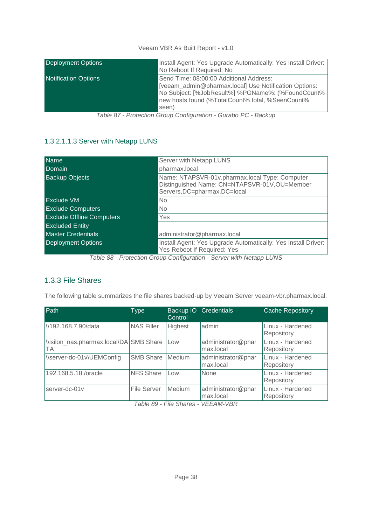| <b>Deployment Options</b>   | Install Agent: Yes Upgrade Automatically: Yes Install Driver:<br>No Reboot If Required: No                                                                                                                         |
|-----------------------------|--------------------------------------------------------------------------------------------------------------------------------------------------------------------------------------------------------------------|
| <b>Notification Options</b> | Send Time: 08:00:00 Additional Address:<br>[veeam admin@pharmax.local] Use Notification Options:<br>No Subject: [%JobResult%] %PGName%: (%FoundCount%<br>new hosts found (%TotalCount% total, %SeenCount%<br>seen) |

*Table 87 - Protection Group Configuration - Gurabo PC - Backup*

## <span id="page-37-0"></span>1.3.2.1.1.3 Server with Netapp LUNS

| <b>Name</b>                      | Server with Netapp LUNS                                                                                                         |
|----------------------------------|---------------------------------------------------------------------------------------------------------------------------------|
| Domain                           | pharmax.local                                                                                                                   |
| <b>Backup Objects</b>            | Name: NTAPSVR-01v.pharmax.local Type: Computer<br>Distinguished Name: CN=NTAPSVR-01V,OU=Member<br>Servers, DC=pharmax, DC=local |
| <b>Exclude VM</b>                | No                                                                                                                              |
| <b>Exclude Computers</b>         | No                                                                                                                              |
| <b>Exclude Offline Computers</b> | Yes                                                                                                                             |
| <b>Excluded Entity</b>           |                                                                                                                                 |
| <b>Master Credentials</b>        | administrator@pharmax.local                                                                                                     |
| <b>Deployment Options</b>        | Install Agent: Yes Upgrade Automatically: Yes Install Driver:<br>Yes Reboot If Required: Yes                                    |

*Table 88 - Protection Group Configuration - Server with Netapp LUNS*

## <span id="page-37-1"></span>1.3.3 File Shares

The following table summarizes the file shares backed-up by Veeam Server veeam-vbr.pharmax.local.

| Path                                          | <b>Type</b>        | Backup IO<br>Control | <b>Credentials</b>              | <b>Cache Repository</b>        |
|-----------------------------------------------|--------------------|----------------------|---------------------------------|--------------------------------|
| \\192.168.7.90\data                           | <b>NAS Filler</b>  | Highest              | admin                           | Linux - Hardened<br>Repository |
| \\isilon_nas.pharmax.local\DA SMB Share<br>ТA |                    | Low                  | administrator@phar<br>max.local | Linux - Hardened<br>Repository |
| \\server-dc-01v\UEMConfig                     | SMB Share          | Medium               | administrator@phar<br>max.local | Linux - Hardened<br>Repository |
| 192.168.5.18:/oracle                          | <b>NFS Share</b>   | Low                  | None                            | Linux - Hardened<br>Repository |
| server-dc-01v                                 | <b>File Server</b> | Medium               | administrator@phar<br>max.local | Linux - Hardened<br>Repository |

*Table 89 - File Shares - VEEAM-VBR*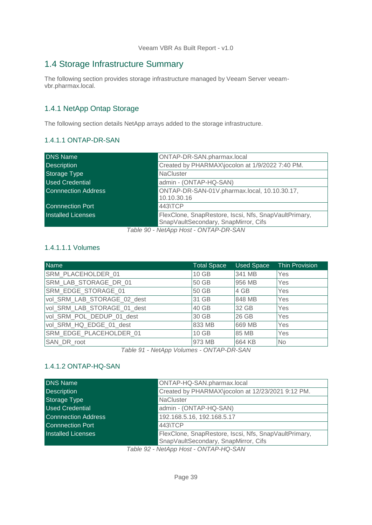## <span id="page-38-0"></span>1.4 Storage Infrastructure Summary

The following section provides storage infrastructure managed by Veeam Server veeamvbr.pharmax.local.

## <span id="page-38-1"></span>1.4.1 NetApp Ontap Storage

<span id="page-38-2"></span>The following section details NetApp arrays added to the storage infrastructure.

#### 1.4.1.1 ONTAP-DR-SAN

| <b>DNS Name</b>            | ONTAP-DR-SAN.pharmax.local                                                                    |
|----------------------------|-----------------------------------------------------------------------------------------------|
| <b>Description</b>         | Created by PHARMAX\jocolon at 1/9/2022 7:40 PM.                                               |
| Storage Type               | <b>NaCluster</b>                                                                              |
| <b>Used Credential</b>     | admin - (ONTAP-HQ-SAN)                                                                        |
| <b>Connnection Address</b> | ONTAP-DR-SAN-01V.pharmax.local, 10.10.30.17,<br>10.10.30.16                                   |
| <b>Connnection Port</b>    | 443\TCP                                                                                       |
| <b>Installed Licenses</b>  | FlexClone, SnapRestore, Iscsi, Nfs, SnapVaultPrimary,<br>SnapVaultSecondary, SnapMirror, Cifs |
|                            | Table 00 NotApp Hest ONTAD DD SAN                                                             |

*Table 90 - NetApp Host - ONTAP-DR-SAN*

#### <span id="page-38-3"></span>1.4.1.1.1 Volumes

| Name                        | <b>Total Space</b> | <b>Used Space</b> | <b>Thin Provision</b> |
|-----------------------------|--------------------|-------------------|-----------------------|
| SRM PLACEHOLDER 01          | 10 GB              | 341 MB            | Yes                   |
| SRM LAB STORAGE DR 01       | 50 GB              | 956 MB            | Yes                   |
| SRM EDGE STORAGE 01         | 50 GB              | 4 GB              | <b>Yes</b>            |
| vol_SRM_LAB_STORAGE_02_dest | 31 GB              | 848 MB            | Yes                   |
| vol_SRM_LAB_STORAGE_01_dest | 40 GB              | 32 GB             | Yes                   |
| vol SRM POL DEDUP 01 dest   | 30 GB              | 26 GB             | Yes                   |
| vol SRM HQ EDGE 01 dest     | 833 MB             | 669 MB            | Yes                   |
| SRM EDGE PLACEHOLDER 01     | $10$ GB            | 85 MB             | Yes                   |
| SAN DR root                 | 973 MB             | 664 KB            | N <sub>o</sub>        |

*Table 91 - NetApp Volumes - ONTAP-DR-SAN*

## <span id="page-38-4"></span>1.4.1.2 ONTAP-HQ-SAN

| <b>DNS Name</b>            | ONTAP-HQ-SAN.pharmax.local                            |
|----------------------------|-------------------------------------------------------|
| <b>Description</b>         | Created by PHARMAX\jocolon at 12/23/2021 9:12 PM.     |
| <b>Storage Type</b>        | <b>NaCluster</b>                                      |
| <b>Used Credential</b>     | admin - (ONTAP-HQ-SAN)                                |
| <b>Connnection Address</b> | 192.168.5.16, 192.168.5.17                            |
| <b>Connnection Port</b>    | 443\TCP                                               |
| <b>Installed Licenses</b>  | FlexClone, SnapRestore, Iscsi, Nfs, SnapVaultPrimary, |
|                            | SnapVaultSecondary, SnapMirror, Cifs                  |

*Table 92 - NetApp Host - ONTAP-HQ-SAN*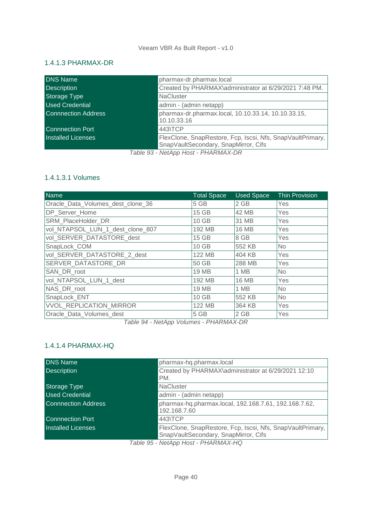## <span id="page-39-0"></span>1.4.1.3 PHARMAX-DR

| <b>DNS Name</b>            | pharmax-dr.pharmax.local                                                                           |
|----------------------------|----------------------------------------------------------------------------------------------------|
| <b>Description</b>         | Created by PHARMAX\administrator at 6/29/2021 7:48 PM.                                             |
| <b>Storage Type</b>        | <b>NaCluster</b>                                                                                   |
| <b>Used Credential</b>     | admin - (admin netapp)                                                                             |
| <b>Connnection Address</b> | pharmax-dr.pharmax.local, 10.10.33.14, 10.10.33.15,<br>10.10.33.16                                 |
| <b>Connnection Port</b>    | 443\TCP                                                                                            |
| <b>Installed Licenses</b>  | FlexClone, SnapRestore, Fcp, Iscsi, Nfs, SnapVaultPrimary,<br>SnapVaultSecondary, SnapMirror, Cifs |

*Table 93 - NetApp Host - PHARMAX-DR*

## <span id="page-39-1"></span>1.4.1.3.1 Volumes

| Name                              | <b>Total Space</b> | <b>Used Space</b> | <b>Thin Provision</b> |
|-----------------------------------|--------------------|-------------------|-----------------------|
| Oracle_Data_Volumes_dest_clone_36 | 5 GB               | 2 GB              | Yes                   |
| DP_Server_Home                    | 15 GB              | 42 MB             | Yes                   |
| SRM PlaceHolder DR                | 10 GB              | 31 MB             | Yes                   |
| vol NTAPSOL_LUN_1_dest_clone_807  | 192 MB             | <b>16 MB</b>      | Yes                   |
| vol_SERVER_DATASTORE_dest         | 15 GB              | 8 GB              | Yes                   |
| SnapLock_COM                      | 10 GB              | 552 KB            | No                    |
| vol SERVER DATASTORE 2 dest       | 122 MB             | 404 KB            | Yes                   |
| SERVER DATASTORE DR               | 50 GB              | 288 MB            | Yes                   |
| SAN DR root                       | 19 MB              | 1 MB              | No                    |
| vol_NTAPSOL_LUN_1_dest            | 192 MB             | <b>16 MB</b>      | Yes                   |
| NAS_DR_root                       | 19 MB              | 1 MB              | No                    |
| SnapLock_ENT                      | 10 GB              | 552 KB            | <b>No</b>             |
| <b>VVOL REPLICATION MIRROR</b>    | 122 MB             | 364 KB            | Yes                   |
| Oracle Data Volumes dest          | 5 GB               | 2 GB              | Yes                   |

*Table 94 - NetApp Volumes - PHARMAX-DR*

## <span id="page-39-2"></span>1.4.1.4 PHARMAX-HQ

| <b>DNS Name</b>            | pharmax-hq.pharmax.local                                                                           |
|----------------------------|----------------------------------------------------------------------------------------------------|
| <b>Description</b>         | Created by PHARMAX\administrator at 6/29/2021 12:10<br>PM.                                         |
| Storage Type               | <b>NaCluster</b>                                                                                   |
| <b>Used Credential</b>     | admin - (admin netapp)                                                                             |
| <b>Connnection Address</b> | pharmax-hq.pharmax.local, 192.168.7.61, 192.168.7.62,<br>192.168.7.60                              |
| <b>Connnection Port</b>    | 443\TCP                                                                                            |
| <b>Installed Licenses</b>  | FlexClone, SnapRestore, Fcp, Iscsi, Nfs, SnapVaultPrimary,<br>SnapVaultSecondary, SnapMirror, Cifs |
|                            | Table 95 - NetApp Host - PHARMAX-HQ                                                                |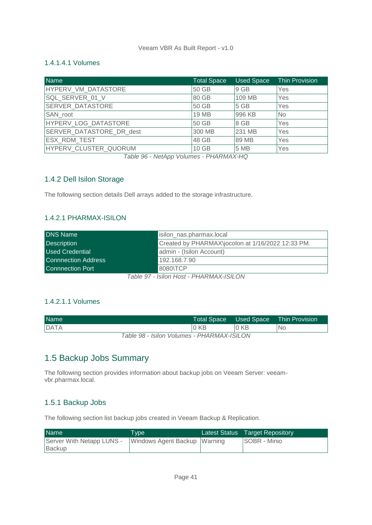#### <span id="page-40-0"></span>1.4.1.4.1 Volumes

| <b>Name</b>              | <b>Total Space</b> | <b>Used Space</b> | <b>Thin Provision</b> |
|--------------------------|--------------------|-------------------|-----------------------|
| HYPERV VM DATASTORE      | 50 GB              | 9 GB              | Yes                   |
| SQL SERVER 01 V          | 80 GB              | 109 MB            | Yes                   |
| <b>SERVER DATASTORE</b>  | 50 GB              | 5 GB              | Yes                   |
| SAN root                 | 19 MB              | 996 KB            | <b>No</b>             |
| HYPERV_LOG_DATASTORE     | 50 GB              | 8 GB              | Yes                   |
| SERVER DATASTORE DR dest | 300 MB             | 231 MB            | Yes                   |
| ESX RDM TEST             | 48 GB              | 89 MB             | Yes                   |
| HYPERV_CLUSTER_QUORUM    | 10 GB              | 5 MB              | Yes                   |

*Table 96 - NetApp Volumes - PHARMAX-HQ*

## <span id="page-40-1"></span>1.4.2 Dell Isilon Storage

The following section details Dell arrays added to the storage infrastructure.

## <span id="page-40-2"></span>1.4.2.1 PHARMAX-ISILON

| <b>DNS Name</b>            | isilon_nas.pharmax.local                          |  |  |
|----------------------------|---------------------------------------------------|--|--|
| <b>Description</b>         | Created by PHARMAX\jocolon at 1/16/2022 12:33 PM. |  |  |
| <b>Used Credential</b>     | admin - (Isilon Account)                          |  |  |
| <b>Connnection Address</b> | 192.168.7.90                                      |  |  |
| <b>Connnection Port</b>    | 8080\TCP                                          |  |  |
|                            | $T_0$ blo 07 Ioilen Hoot DHADMAVIOILOM            |  |  |

*Table 97 - Isilon Host - PHARMAX-ISILON*

## <span id="page-40-3"></span>1.4.2.1.1 Volumes

| <b>Name</b>                                |                 |                 | Total Space Used Space Thin Provision <sup>1</sup> |  |
|--------------------------------------------|-----------------|-----------------|----------------------------------------------------|--|
| <b>DATA</b>                                | 0 <sub>KB</sub> | 0 <sub>KB</sub> | No                                                 |  |
| Table 98 - Isilon Volumes - PHARMAX-ISILON |                 |                 |                                                    |  |

## <span id="page-40-4"></span>1.5 Backup Jobs Summary

The following section provides information about backup jobs on Veeam Server: veeamvbr.pharmax.local.

#### <span id="page-40-5"></span>1.5.1 Backup Jobs

The following section list backup jobs created in Veeam Backup & Replication.

| <b>Name</b>                         | T <sub>vpe</sub>             | Latest Status Target Repository |
|-------------------------------------|------------------------------|---------------------------------|
| Server With Netapp LUNS -<br>Backup | Windows Agent Backup Warning | SOBR - Minio                    |